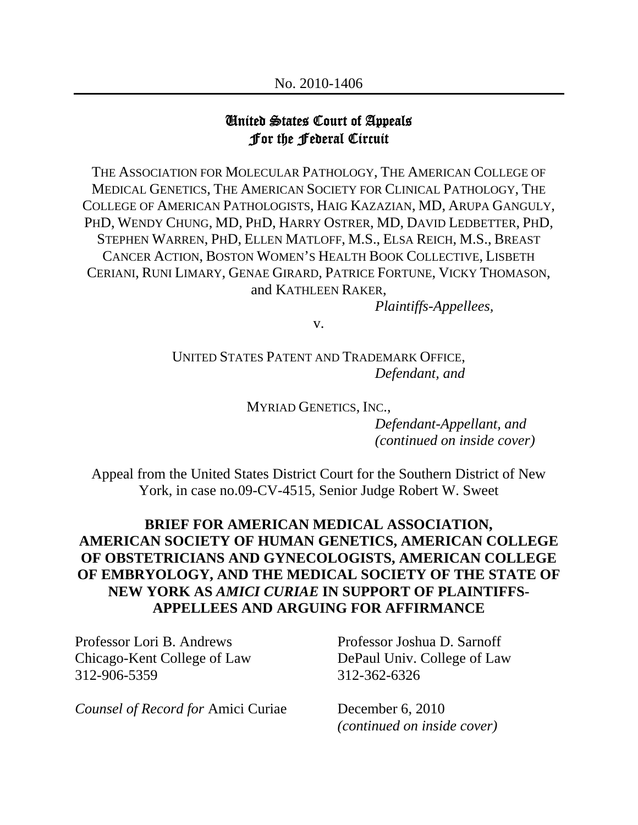## United States Court of Appeals For the Federal Circuit

THE ASSOCIATION FOR MOLECULAR PATHOLOGY, THE AMERICAN COLLEGE OF MEDICAL GENETICS, THE AMERICAN SOCIETY FOR CLINICAL PATHOLOGY, THE COLLEGE OF AMERICAN PATHOLOGISTS, HAIG KAZAZIAN, MD, ARUPA GANGULY, PHD, WENDY CHUNG, MD, PHD, HARRY OSTRER, MD, DAVID LEDBETTER, PHD, STEPHEN WARREN, PHD, ELLEN MATLOFF, M.S., ELSA REICH, M.S., BREAST CANCER ACTION, BOSTON WOMEN'S HEALTH BOOK COLLECTIVE, LISBETH CERIANI, RUNI LIMARY, GENAE GIRARD, PATRICE FORTUNE, VICKY THOMASON, and KATHLEEN RAKER,

*Plaintiffs-Appellees,*

v.

UNITED STATES PATENT AND TRADEMARK OFFICE, *Defendant, and*

MYRIAD GENETICS, INC.,

*Defendant-Appellant, and (continued on inside cover)* 

Appeal from the United States District Court for the Southern District of New York, in case no.09-CV-4515, Senior Judge Robert W. Sweet

## **BRIEF FOR AMERICAN MEDICAL ASSOCIATION, AMERICAN SOCIETY OF HUMAN GENETICS, AMERICAN COLLEGE OF OBSTETRICIANS AND GYNECOLOGISTS, AMERICAN COLLEGE OF EMBRYOLOGY, AND THE MEDICAL SOCIETY OF THE STATE OF NEW YORK AS** *AMICI CURIAE* **IN SUPPORT OF PLAINTIFFS-APPELLEES AND ARGUING FOR AFFIRMANCE**

Professor Lori B. Andrews Professor Joshua D. Sarnoff Chicago-Kent College of Law DePaul Univ. College of Law 312-906-5359 312-362-6326

*Counsel of Record for* Amici Curiae December 6, 2010

*(continued on inside cover)*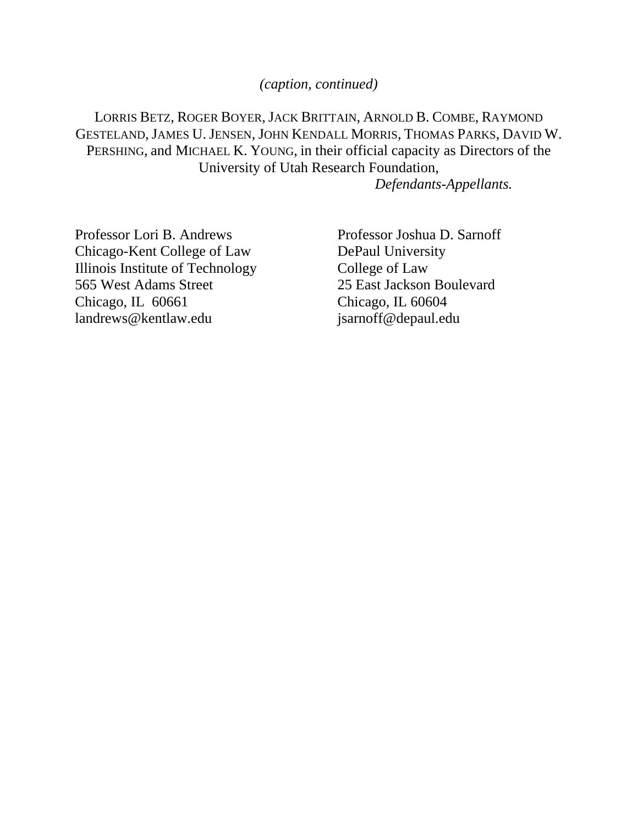*(caption, continued)* 

LORRIS BETZ, ROGER BOYER, JACK BRITTAIN, ARNOLD B. COMBE, RAYMOND GESTELAND, JAMES U. JENSEN, JOHN KENDALL MORRIS, THOMAS PARKS, DAVID W. PERSHING, and MICHAEL K. YOUNG, in their official capacity as Directors of the University of Utah Research Foundation,

*Defendants-Appellants.* 

Professor Lori B. Andrews Professor Joshua D. Sarnoff Chicago-Kent College of Law DePaul University Illinois Institute of Technology College of Law 565 West Adams Street 25 East Jackson Boulevard Chicago, IL 60661 Chicago, IL 60604 landrews@kentlaw.edu jsarnoff@depaul.edu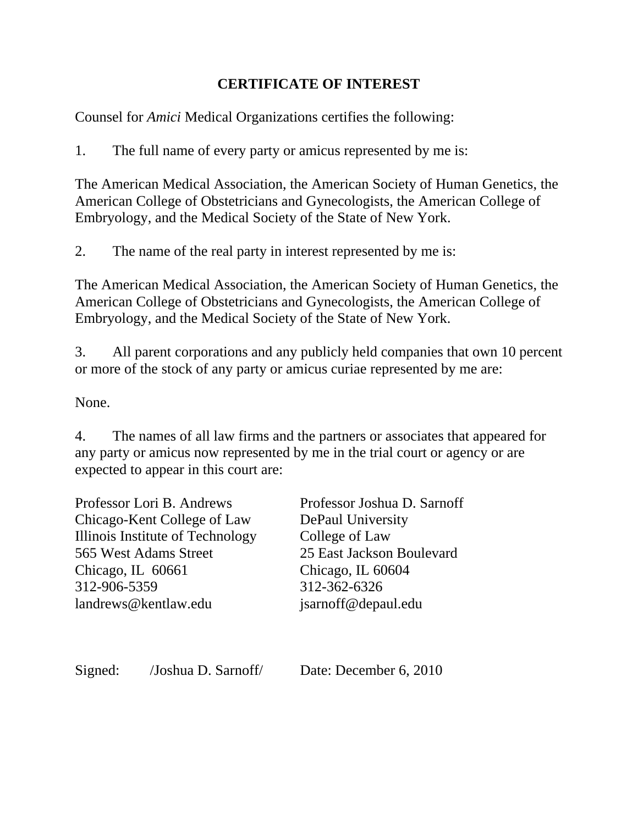## **CERTIFICATE OF INTEREST**

Counsel for *Amici* Medical Organizations certifies the following:

1. The full name of every party or amicus represented by me is:

The American Medical Association, the American Society of Human Genetics, the American College of Obstetricians and Gynecologists, the American College of Embryology, and the Medical Society of the State of New York.

2. The name of the real party in interest represented by me is:

The American Medical Association, the American Society of Human Genetics, the American College of Obstetricians and Gynecologists, the American College of Embryology, and the Medical Society of the State of New York.

3. All parent corporations and any publicly held companies that own 10 percent or more of the stock of any party or amicus curiae represented by me are:

None.

4. The names of all law firms and the partners or associates that appeared for any party or amicus now represented by me in the trial court or agency or are expected to appear in this court are:

| Professor Lori B. Andrews        | Professor Joshua D. Sarnoff |
|----------------------------------|-----------------------------|
| Chicago-Kent College of Law      | <b>DePaul University</b>    |
| Illinois Institute of Technology | College of Law              |
| 565 West Adams Street            | 25 East Jackson Boulevard   |
| Chicago, IL 60661                | Chicago, IL 60604           |
| 312-906-5359                     | 312-362-6326                |
| landrews@kentlaw.edu             | jsarnoff@depaul.edu         |
|                                  |                             |
|                                  |                             |
|                                  |                             |

Signed: /Joshua D. Sarnoff/ Date: December 6, 2010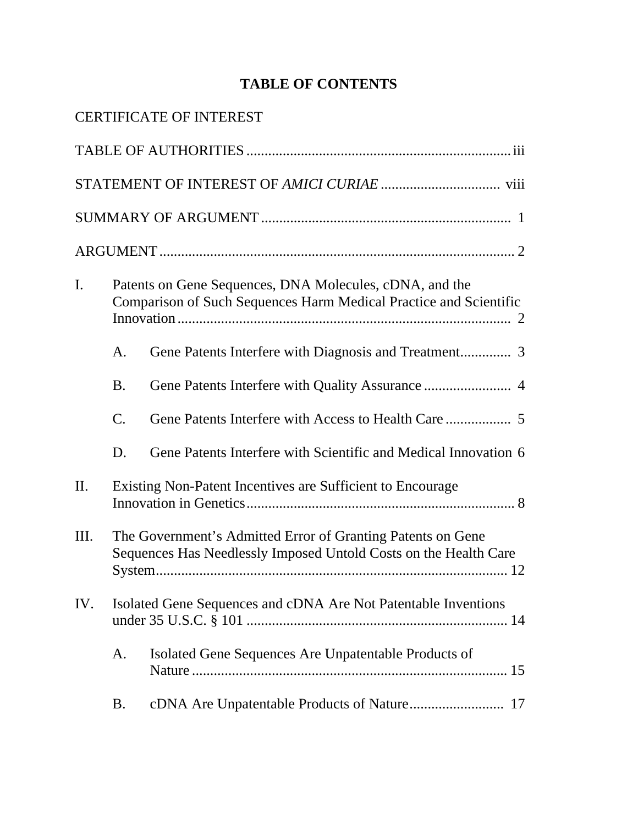# **TABLE OF CONTENTS**

|     |                 | <b>CERTIFICATE OF INTEREST</b>                                                                                                  |
|-----|-----------------|---------------------------------------------------------------------------------------------------------------------------------|
|     |                 |                                                                                                                                 |
|     |                 |                                                                                                                                 |
|     |                 |                                                                                                                                 |
|     |                 |                                                                                                                                 |
| I.  |                 | Patents on Gene Sequences, DNA Molecules, cDNA, and the<br>Comparison of Such Sequences Harm Medical Practice and Scientific    |
|     | A.              |                                                                                                                                 |
|     | <b>B.</b>       |                                                                                                                                 |
|     | $\mathcal{C}$ . |                                                                                                                                 |
|     | D.              | Gene Patents Interfere with Scientific and Medical Innovation 6                                                                 |
| II. |                 | Existing Non-Patent Incentives are Sufficient to Encourage                                                                      |
| Ш.  |                 | The Government's Admitted Error of Granting Patents on Gene<br>Sequences Has Needlessly Imposed Untold Costs on the Health Care |
| IV. |                 | Isolated Gene Sequences and cDNA Are Not Patentable Inventions                                                                  |
|     | A.              | Isolated Gene Sequences Are Unpatentable Products of                                                                            |
|     | <b>B.</b>       |                                                                                                                                 |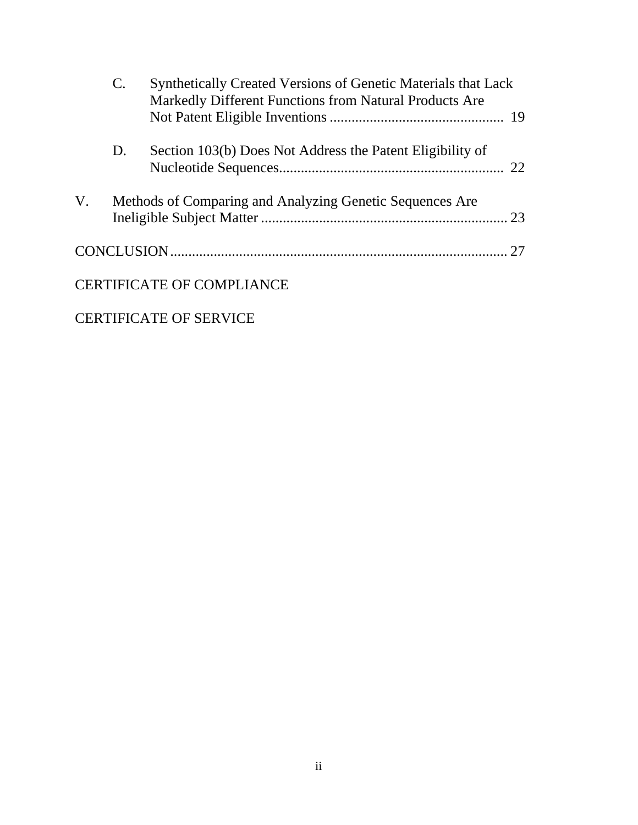|    | $\mathbf{C}$ . | <b>Synthetically Created Versions of Genetic Materials that Lack</b><br>Markedly Different Functions from Natural Products Are |    |
|----|----------------|--------------------------------------------------------------------------------------------------------------------------------|----|
|    | D.             | Section 103(b) Does Not Address the Patent Eligibility of                                                                      | 22 |
| V. |                | Methods of Comparing and Analyzing Genetic Sequences Are                                                                       |    |
|    |                |                                                                                                                                | 27 |
|    |                | <b>CERTIFICATE OF COMPLIANCE</b>                                                                                               |    |

## CERTIFICATE OF SERVICE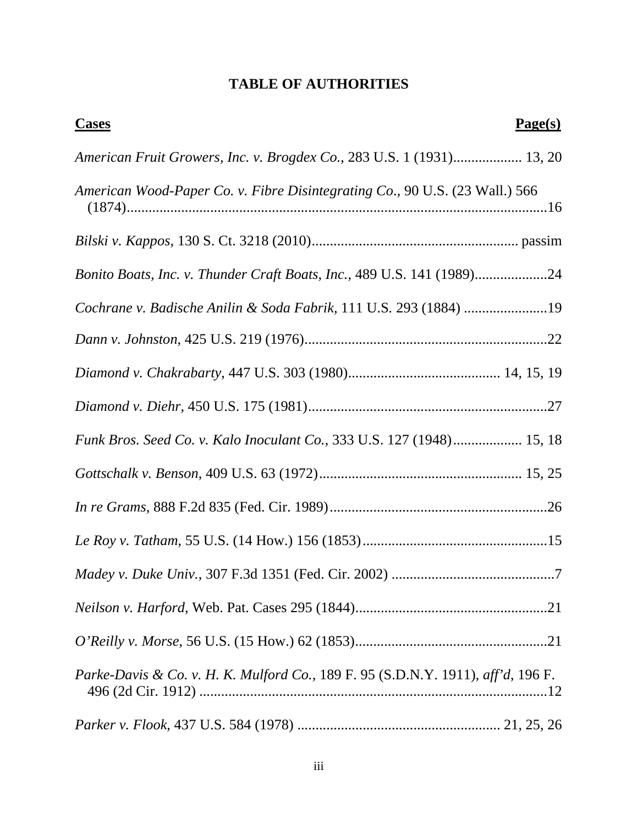## **TABLE OF AUTHORITIES**

| Page(s)<br><b>Cases</b>                                                          |  |
|----------------------------------------------------------------------------------|--|
| American Fruit Growers, Inc. v. Brogdex Co., 283 U.S. 1 (1931) 13, 20            |  |
| American Wood-Paper Co. v. Fibre Disintegrating Co., 90 U.S. (23 Wall.) 566      |  |
|                                                                                  |  |
| Bonito Boats, Inc. v. Thunder Craft Boats, Inc., 489 U.S. 141 (1989)24           |  |
| Cochrane v. Badische Anilin & Soda Fabrik, 111 U.S. 293 (1884) 19                |  |
|                                                                                  |  |
|                                                                                  |  |
|                                                                                  |  |
| Funk Bros. Seed Co. v. Kalo Inoculant Co., 333 U.S. 127 (1948) 15, 18            |  |
|                                                                                  |  |
|                                                                                  |  |
|                                                                                  |  |
|                                                                                  |  |
|                                                                                  |  |
|                                                                                  |  |
| Parke-Davis & Co. v. H. K. Mulford Co., 189 F. 95 (S.D.N.Y. 1911), aff'd, 196 F. |  |
|                                                                                  |  |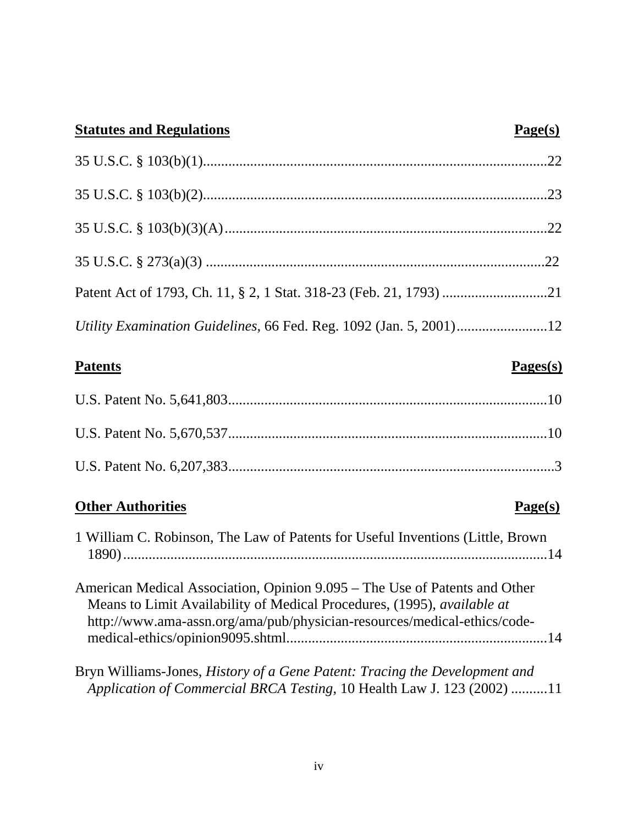| <b>Statutes and Regulations</b>                                                                                                                                                                                                   | Page(s)                      |
|-----------------------------------------------------------------------------------------------------------------------------------------------------------------------------------------------------------------------------------|------------------------------|
|                                                                                                                                                                                                                                   |                              |
|                                                                                                                                                                                                                                   |                              |
|                                                                                                                                                                                                                                   |                              |
|                                                                                                                                                                                                                                   |                              |
|                                                                                                                                                                                                                                   |                              |
|                                                                                                                                                                                                                                   |                              |
| Patents                                                                                                                                                                                                                           | $\mathbf{Pages}(\mathbf{s})$ |
|                                                                                                                                                                                                                                   |                              |
|                                                                                                                                                                                                                                   |                              |
|                                                                                                                                                                                                                                   |                              |
| <b>Other Authorities</b>                                                                                                                                                                                                          | Page(s)                      |
| 1 William C. Robinson, The Law of Patents for Useful Inventions (Little, Brown                                                                                                                                                    |                              |
| American Medical Association, Opinion 9.095 – The Use of Patents and Other<br>Means to Limit Availability of Medical Procedures, (1995), available at<br>http://www.ama-assn.org/ama/pub/physician-resources/medical-ethics/code- |                              |

Bryn Williams-Jones, *History of a Gene Patent: Tracing the Development and Application of Commercial BRCA Testing*, 10 Health Law J. 123 (2002) .......... 11

medical-ethics/opinion9095.shtml........................................................................ 14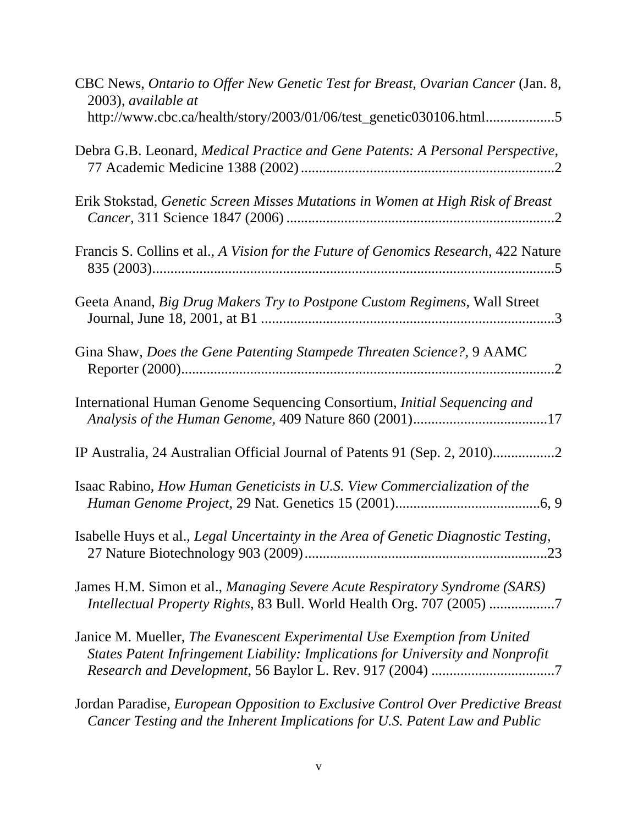| CBC News, Ontario to Offer New Genetic Test for Breast, Ovarian Cancer (Jan. 8,<br>2003), available at                                                          |
|-----------------------------------------------------------------------------------------------------------------------------------------------------------------|
| http://www.cbc.ca/health/story/2003/01/06/test_genetic030106.html5                                                                                              |
| Debra G.B. Leonard, Medical Practice and Gene Patents: A Personal Perspective,                                                                                  |
| Erik Stokstad, Genetic Screen Misses Mutations in Women at High Risk of Breast                                                                                  |
| Francis S. Collins et al., A Vision for the Future of Genomics Research, 422 Nature                                                                             |
| Geeta Anand, Big Drug Makers Try to Postpone Custom Regimens, Wall Street                                                                                       |
| Gina Shaw, Does the Gene Patenting Stampede Threaten Science?, 9 AAMC                                                                                           |
| International Human Genome Sequencing Consortium, <i>Initial Sequencing and</i>                                                                                 |
| IP Australia, 24 Australian Official Journal of Patents 91 (Sep. 2, 2010)                                                                                       |
| Isaac Rabino, How Human Geneticists in U.S. View Commercialization of the                                                                                       |
| Isabelle Huys et al., Legal Uncertainty in the Area of Genetic Diagnostic Testing,                                                                              |
| James H.M. Simon et al., Managing Severe Acute Respiratory Syndrome (SARS)<br>Intellectual Property Rights, 83 Bull. World Health Org. 707 (2005) 7             |
| Janice M. Mueller, The Evanescent Experimental Use Exemption from United<br>States Patent Infringement Liability: Implications for University and Nonprofit     |
| Jordan Paradise, European Opposition to Exclusive Control Over Predictive Breast<br>Cancer Testing and the Inherent Implications for U.S. Patent Law and Public |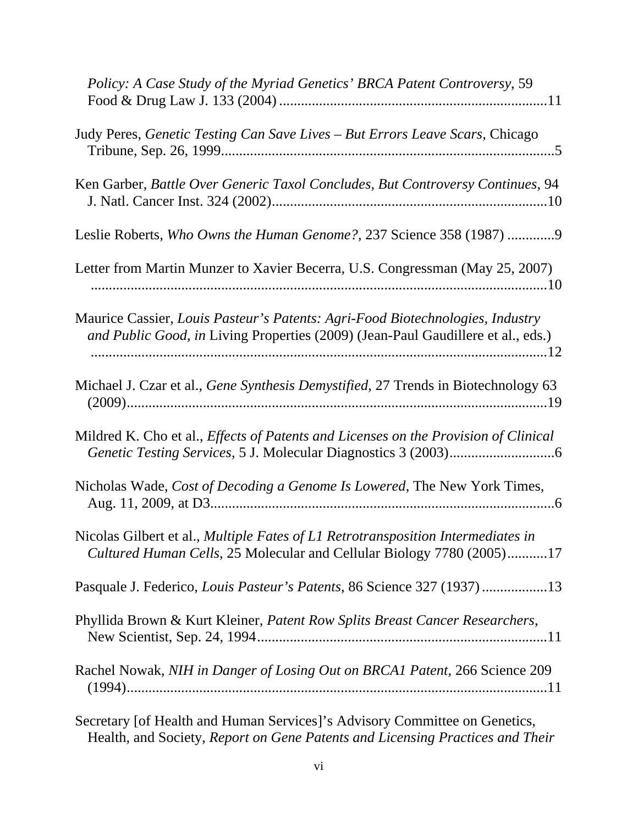| Policy: A Case Study of the Myriad Genetics' BRCA Patent Controversy, 59                                                                                          |
|-------------------------------------------------------------------------------------------------------------------------------------------------------------------|
| Judy Peres, Genetic Testing Can Save Lives - But Errors Leave Scars, Chicago                                                                                      |
| Ken Garber, Battle Over Generic Taxol Concludes, But Controversy Continues, 94                                                                                    |
| Leslie Roberts, Who Owns the Human Genome?, 237 Science 358 (1987) 9                                                                                              |
| Letter from Martin Munzer to Xavier Becerra, U.S. Congressman (May 25, 2007)                                                                                      |
| Maurice Cassier, Louis Pasteur's Patents: Agri-Food Biotechnologies, Industry<br>and Public Good, in Living Properties (2009) (Jean-Paul Gaudillere et al., eds.) |
| Michael J. Czar et al., Gene Synthesis Demystified, 27 Trends in Biotechnology 63                                                                                 |
| Mildred K. Cho et al., <i>Effects of Patents and Licenses on the Provision of Clinical</i>                                                                        |
| Nicholas Wade, Cost of Decoding a Genome Is Lowered, The New York Times,                                                                                          |
| Nicolas Gilbert et al., Multiple Fates of L1 Retrotransposition Intermediates in<br>Cultured Human Cells, 25 Molecular and Cellular Biology 7780 (2005)17         |
| Pasquale J. Federico, Louis Pasteur's Patents, 86 Science 327 (1937)13                                                                                            |
| Phyllida Brown & Kurt Kleiner, Patent Row Splits Breast Cancer Researchers,                                                                                       |
| Rachel Nowak, NIH in Danger of Losing Out on BRCA1 Patent, 266 Science 209                                                                                        |
| Secretary Lef Health and Hyman Services l'a Advisory Committee on Constitue                                                                                       |

Secretary [of Health and Human Services]'s Advisory Committee on Genetics, Health, and Society, *Report on Gene Patents and Licensing Practices and Their*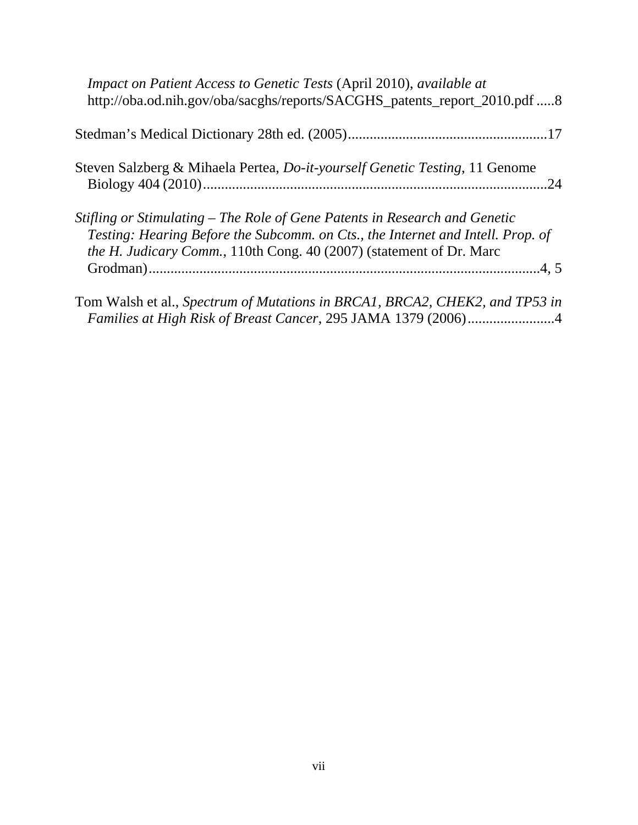| Impact on Patient Access to Genetic Tests (April 2010), available at<br>http://oba.od.nih.gov/oba/sacghs/reports/SACGHS_patents_report_2010.pdf 8                                                                                            |
|----------------------------------------------------------------------------------------------------------------------------------------------------------------------------------------------------------------------------------------------|
|                                                                                                                                                                                                                                              |
| Steven Salzberg & Mihaela Pertea, <i>Do-it-yourself Genetic Testing</i> , 11 Genome                                                                                                                                                          |
| Stifling or Stimulating – The Role of Gene Patents in Research and Genetic<br>Testing: Hearing Before the Subcomm. on Cts., the Internet and Intell. Prop. of<br><i>the H. Judicary Comm.</i> , 110th Cong. 40 (2007) (statement of Dr. Marc |
| Tom Walsh et al., Spectrum of Mutations in BRCA1, BRCA2, CHEK2, and TP53 in                                                                                                                                                                  |

*Families at High Risk of Breast Cancer*, 295 JAMA 1379 (2006) ........................ 4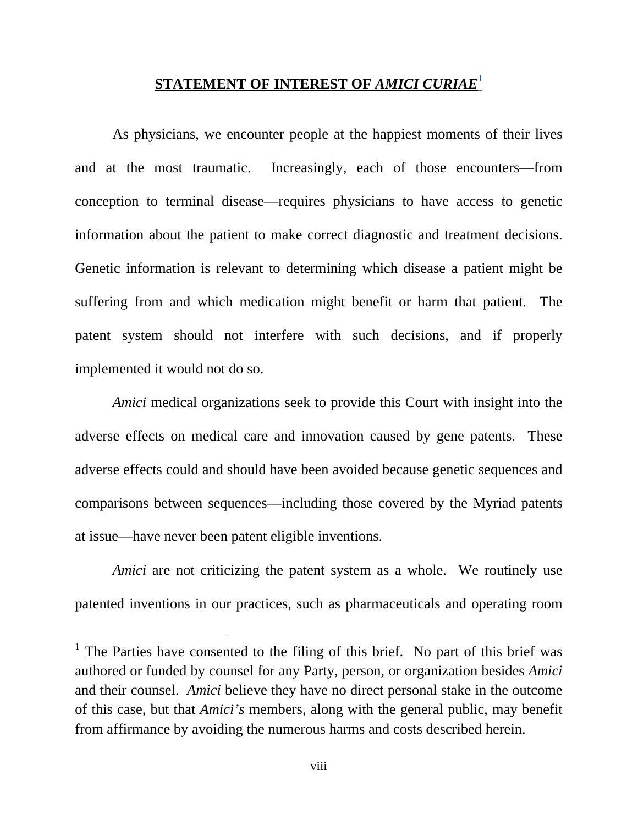#### **STATEMENT OF INTEREST OF** *AMICI CURIAE***<sup>1</sup>**

As physicians, we encounter people at the happiest moments of their lives and at the most traumatic. Increasingly, each of those encounters—from conception to terminal disease—requires physicians to have access to genetic information about the patient to make correct diagnostic and treatment decisions. Genetic information is relevant to determining which disease a patient might be suffering from and which medication might benefit or harm that patient. The patent system should not interfere with such decisions, and if properly implemented it would not do so.

*Amici* medical organizations seek to provide this Court with insight into the adverse effects on medical care and innovation caused by gene patents. These adverse effects could and should have been avoided because genetic sequences and comparisons between sequences—including those covered by the Myriad patents at issue—have never been patent eligible inventions.

*Amici* are not criticizing the patent system as a whole. We routinely use patented inventions in our practices, such as pharmaceuticals and operating room

 $\overline{a}$ 

<sup>&</sup>lt;sup>1</sup> The Parties have consented to the filing of this brief. No part of this brief was authored or funded by counsel for any Party, person, or organization besides *Amici*  and their counsel. *Amici* believe they have no direct personal stake in the outcome of this case, but that *Amici's* members, along with the general public, may benefit from affirmance by avoiding the numerous harms and costs described herein.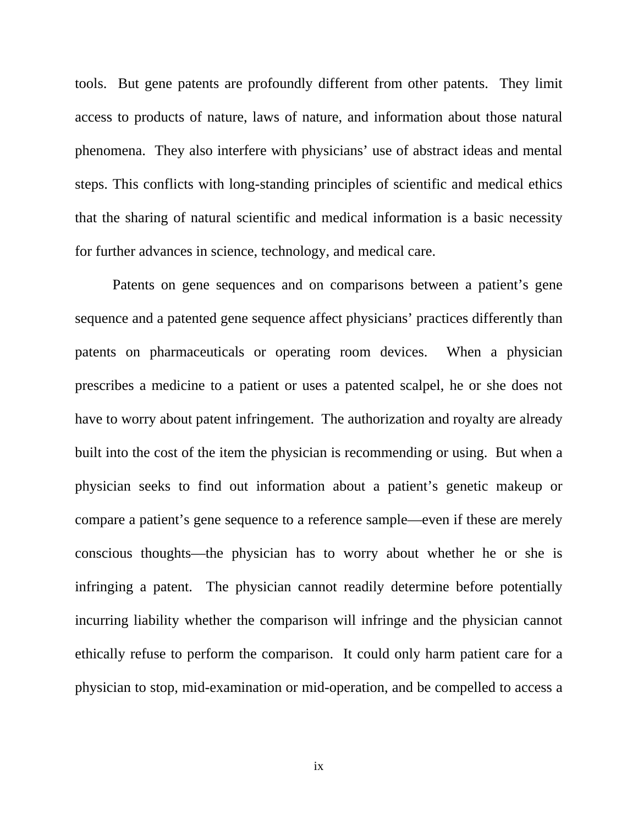tools. But gene patents are profoundly different from other patents. They limit access to products of nature, laws of nature, and information about those natural phenomena. They also interfere with physicians' use of abstract ideas and mental steps. This conflicts with long-standing principles of scientific and medical ethics that the sharing of natural scientific and medical information is a basic necessity for further advances in science, technology, and medical care.

Patents on gene sequences and on comparisons between a patient's gene sequence and a patented gene sequence affect physicians' practices differently than patents on pharmaceuticals or operating room devices. When a physician prescribes a medicine to a patient or uses a patented scalpel, he or she does not have to worry about patent infringement. The authorization and royalty are already built into the cost of the item the physician is recommending or using. But when a physician seeks to find out information about a patient's genetic makeup or compare a patient's gene sequence to a reference sample—even if these are merely conscious thoughts—the physician has to worry about whether he or she is infringing a patent. The physician cannot readily determine before potentially incurring liability whether the comparison will infringe and the physician cannot ethically refuse to perform the comparison. It could only harm patient care for a physician to stop, mid-examination or mid-operation, and be compelled to access a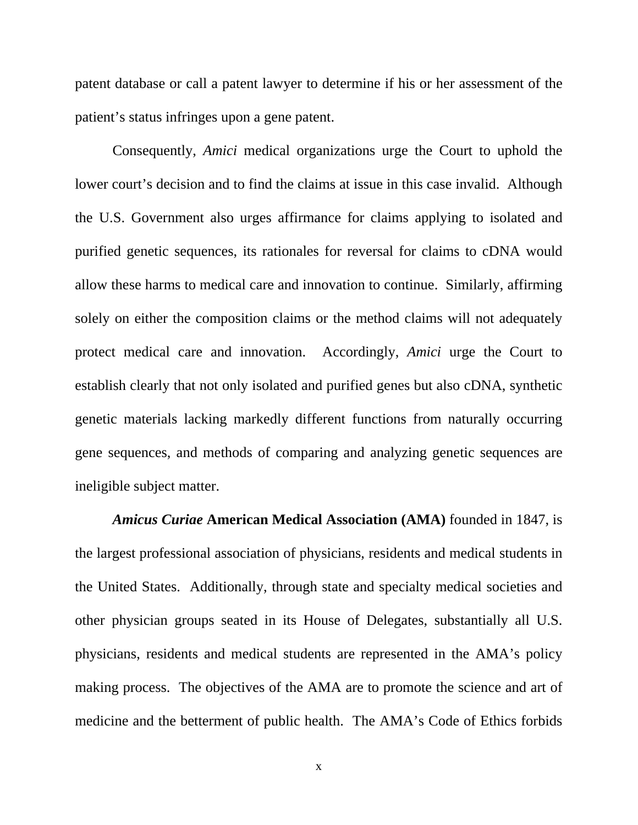patent database or call a patent lawyer to determine if his or her assessment of the patient's status infringes upon a gene patent.

Consequently, *Amici* medical organizations urge the Court to uphold the lower court's decision and to find the claims at issue in this case invalid. Although the U.S. Government also urges affirmance for claims applying to isolated and purified genetic sequences, its rationales for reversal for claims to cDNA would allow these harms to medical care and innovation to continue. Similarly, affirming solely on either the composition claims or the method claims will not adequately protect medical care and innovation. Accordingly, *Amici* urge the Court to establish clearly that not only isolated and purified genes but also cDNA, synthetic genetic materials lacking markedly different functions from naturally occurring gene sequences, and methods of comparing and analyzing genetic sequences are ineligible subject matter.

*Amicus Curiae* **American Medical Association (AMA)** founded in 1847, is the largest professional association of physicians, residents and medical students in the United States. Additionally, through state and specialty medical societies and other physician groups seated in its House of Delegates, substantially all U.S. physicians, residents and medical students are represented in the AMA's policy making process. The objectives of the AMA are to promote the science and art of medicine and the betterment of public health. The AMA's Code of Ethics forbids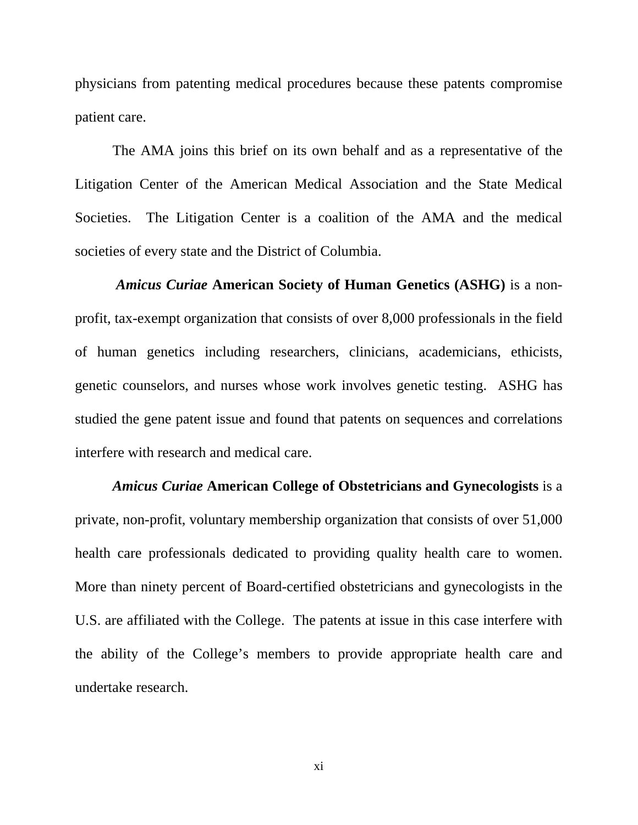physicians from patenting medical procedures because these patents compromise patient care.

The AMA joins this brief on its own behalf and as a representative of the Litigation Center of the American Medical Association and the State Medical Societies. The Litigation Center is a coalition of the AMA and the medical societies of every state and the District of Columbia.

 *Amicus Curiae* **American Society of Human Genetics (ASHG)** is a nonprofit, tax-exempt organization that consists of over 8,000 professionals in the field of human genetics including researchers, clinicians, academicians, ethicists, genetic counselors, and nurses whose work involves genetic testing. ASHG has studied the gene patent issue and found that patents on sequences and correlations interfere with research and medical care.

*Amicus Curiae* **American College of Obstetricians and Gynecologists** is a private, non-profit, voluntary membership organization that consists of over 51,000 health care professionals dedicated to providing quality health care to women. More than ninety percent of Board-certified obstetricians and gynecologists in the U.S. are affiliated with the College. The patents at issue in this case interfere with the ability of the College's members to provide appropriate health care and undertake research.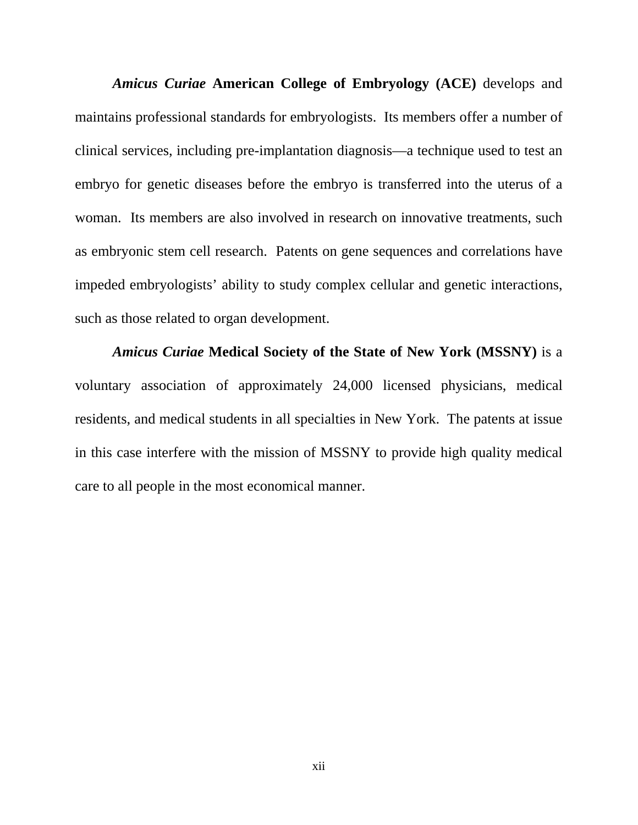*Amicus Curiae* **American College of Embryology (ACE)** develops and maintains professional standards for embryologists. Its members offer a number of clinical services, including pre-implantation diagnosis—a technique used to test an embryo for genetic diseases before the embryo is transferred into the uterus of a woman. Its members are also involved in research on innovative treatments, such as embryonic stem cell research. Patents on gene sequences and correlations have impeded embryologists' ability to study complex cellular and genetic interactions, such as those related to organ development.

 *Amicus Curiae* **Medical Society of the State of New York (MSSNY)** is a voluntary association of approximately 24,000 licensed physicians, medical residents, and medical students in all specialties in New York. The patents at issue in this case interfere with the mission of MSSNY to provide high quality medical care to all people in the most economical manner.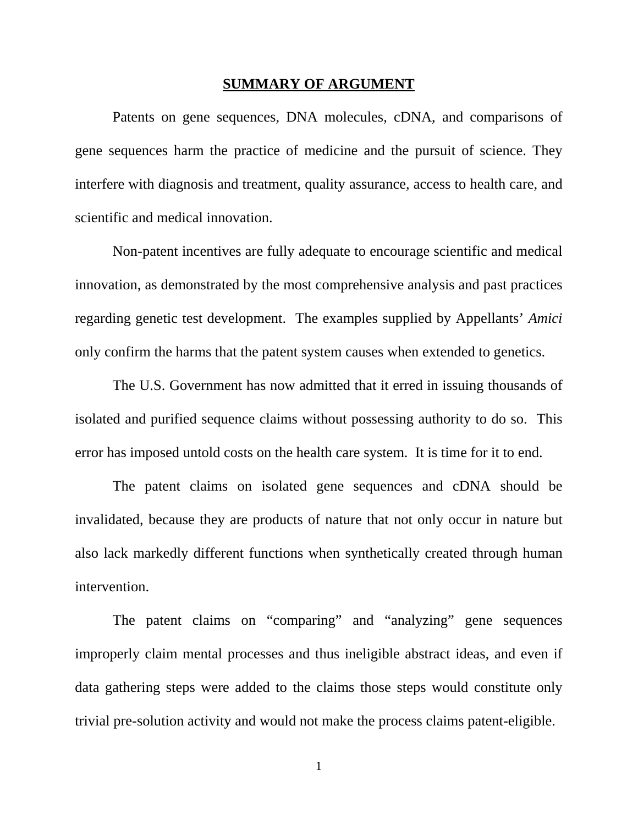#### **SUMMARY OF ARGUMENT**

 Patents on gene sequences, DNA molecules, cDNA, and comparisons of gene sequences harm the practice of medicine and the pursuit of science. They interfere with diagnosis and treatment, quality assurance, access to health care, and scientific and medical innovation.

Non-patent incentives are fully adequate to encourage scientific and medical innovation, as demonstrated by the most comprehensive analysis and past practices regarding genetic test development. The examples supplied by Appellants' *Amici* only confirm the harms that the patent system causes when extended to genetics.

The U.S. Government has now admitted that it erred in issuing thousands of isolated and purified sequence claims without possessing authority to do so. This error has imposed untold costs on the health care system. It is time for it to end.

The patent claims on isolated gene sequences and cDNA should be invalidated, because they are products of nature that not only occur in nature but also lack markedly different functions when synthetically created through human intervention.

The patent claims on "comparing" and "analyzing" gene sequences improperly claim mental processes and thus ineligible abstract ideas, and even if data gathering steps were added to the claims those steps would constitute only trivial pre-solution activity and would not make the process claims patent-eligible.

1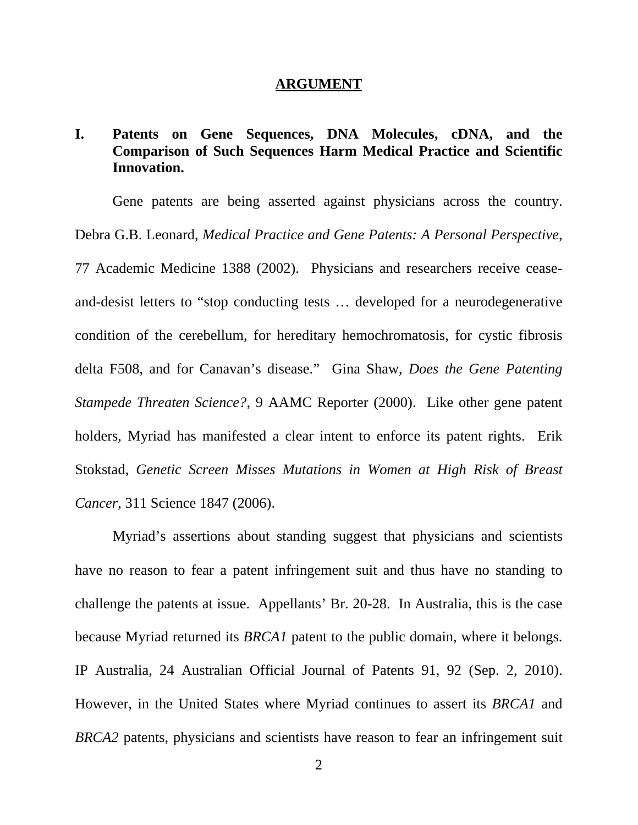#### **ARGUMENT**

## **I. Patents on Gene Sequences, DNA Molecules, cDNA, and the Comparison of Such Sequences Harm Medical Practice and Scientific Innovation.**

Gene patents are being asserted against physicians across the country. Debra G.B. Leonard, *Medical Practice and Gene Patents: A Personal Perspective*, 77 Academic Medicine 1388 (2002). Physicians and researchers receive ceaseand-desist letters to "stop conducting tests … developed for a neurodegenerative condition of the cerebellum, for hereditary hemochromatosis, for cystic fibrosis delta F508, and for Canavan's disease." Gina Shaw, *Does the Gene Patenting Stampede Threaten Science?*, 9 AAMC Reporter (2000). Like other gene patent holders, Myriad has manifested a clear intent to enforce its patent rights. Erik Stokstad, *Genetic Screen Misses Mutations in Women at High Risk of Breast Cancer*, 311 Science 1847 (2006).

Myriad's assertions about standing suggest that physicians and scientists have no reason to fear a patent infringement suit and thus have no standing to challenge the patents at issue. Appellants' Br. 20-28. In Australia, this is the case because Myriad returned its *BRCA1* patent to the public domain, where it belongs. IP Australia, 24 Australian Official Journal of Patents 91, 92 (Sep. 2, 2010). However, in the United States where Myriad continues to assert its *BRCA1* and *BRCA2* patents, physicians and scientists have reason to fear an infringement suit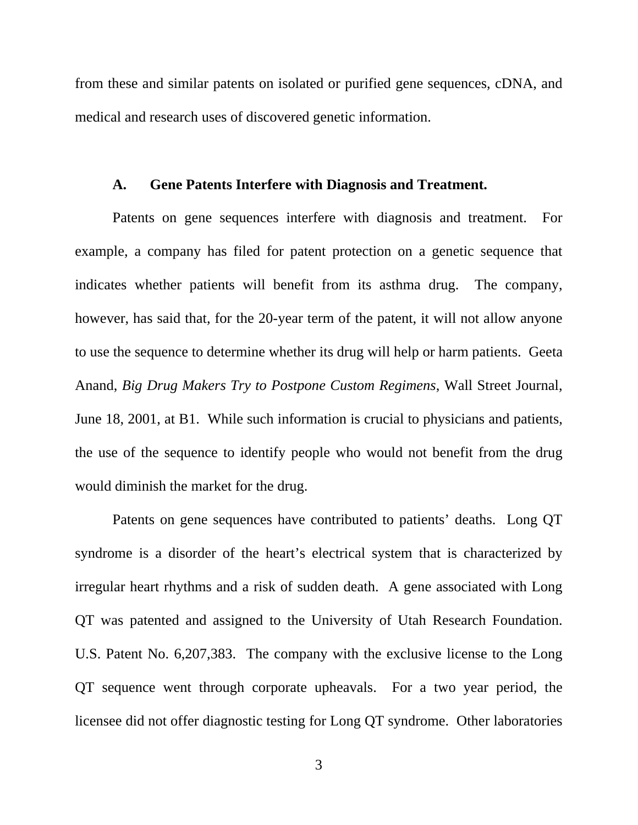from these and similar patents on isolated or purified gene sequences, cDNA, and medical and research uses of discovered genetic information.

#### **A. Gene Patents Interfere with Diagnosis and Treatment.**

Patents on gene sequences interfere with diagnosis and treatment. For example, a company has filed for patent protection on a genetic sequence that indicates whether patients will benefit from its asthma drug. The company, however, has said that, for the 20-year term of the patent, it will not allow anyone to use the sequence to determine whether its drug will help or harm patients. Geeta Anand, *Big Drug Makers Try to Postpone Custom Regimens*, Wall Street Journal, June 18, 2001, at B1. While such information is crucial to physicians and patients, the use of the sequence to identify people who would not benefit from the drug would diminish the market for the drug.

Patents on gene sequences have contributed to patients' deaths. Long QT syndrome is a disorder of the heart's electrical system that is characterized by irregular heart rhythms and a risk of sudden death. A gene associated with Long QT was patented and assigned to the University of Utah Research Foundation. U.S. Patent No. 6,207,383. The company with the exclusive license to the Long QT sequence went through corporate upheavals. For a two year period, the licensee did not offer diagnostic testing for Long QT syndrome. Other laboratories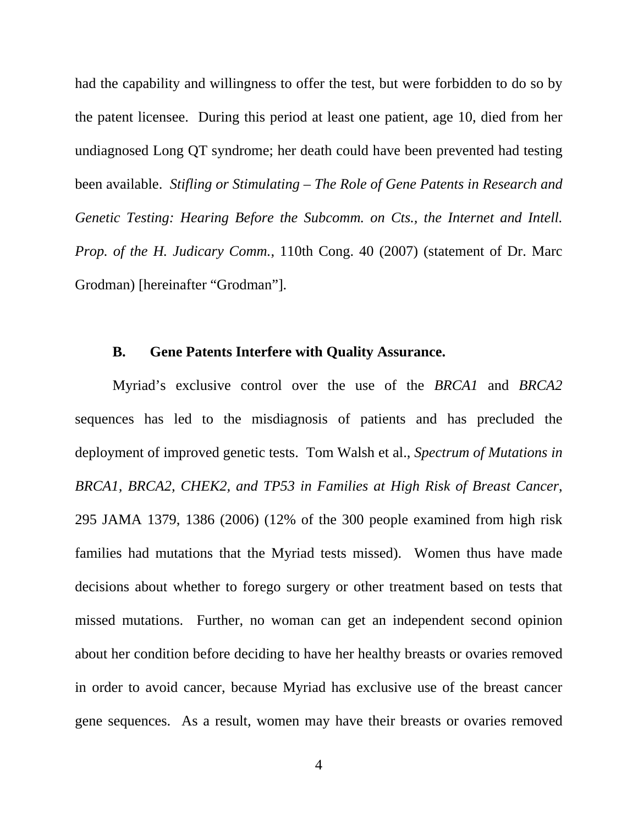had the capability and willingness to offer the test, but were forbidden to do so by the patent licensee. During this period at least one patient, age 10, died from her undiagnosed Long QT syndrome; her death could have been prevented had testing been available. *Stifling or Stimulating – The Role of Gene Patents in Research and Genetic Testing: Hearing Before the Subcomm. on Cts., the Internet and Intell. Prop. of the H. Judicary Comm.*, 110th Cong. 40 (2007) (statement of Dr. Marc Grodman) [hereinafter "Grodman"].

### **B. Gene Patents Interfere with Quality Assurance.**

Myriad's exclusive control over the use of the *BRCA1* and *BRCA2*  sequences has led to the misdiagnosis of patients and has precluded the deployment of improved genetic tests. Tom Walsh et al., *Spectrum of Mutations in BRCA1, BRCA2, CHEK2, and TP53 in Families at High Risk of Breast Cancer*, 295 JAMA 1379, 1386 (2006) (12% of the 300 people examined from high risk families had mutations that the Myriad tests missed). Women thus have made decisions about whether to forego surgery or other treatment based on tests that missed mutations. Further, no woman can get an independent second opinion about her condition before deciding to have her healthy breasts or ovaries removed in order to avoid cancer, because Myriad has exclusive use of the breast cancer gene sequences. As a result, women may have their breasts or ovaries removed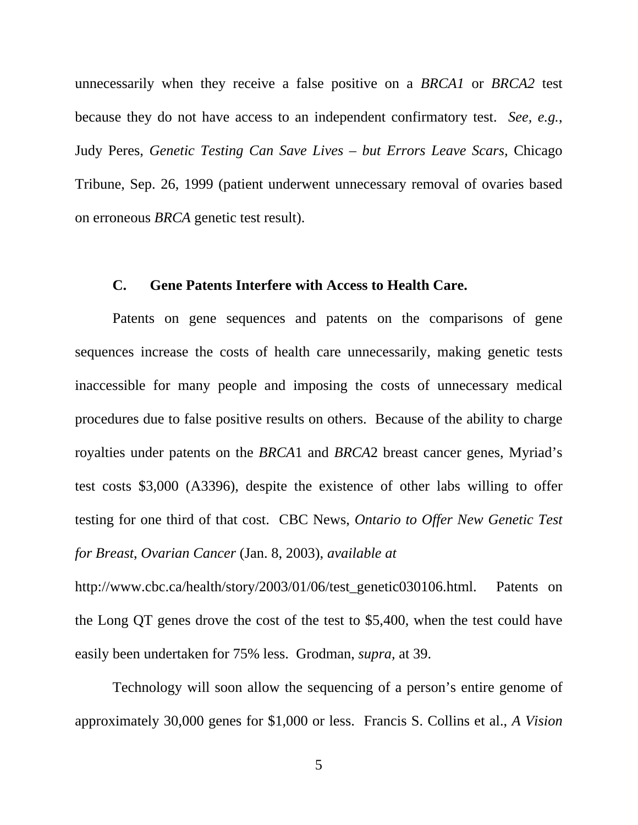unnecessarily when they receive a false positive on a *BRCA1* or *BRCA2* test because they do not have access to an independent confirmatory test. *See, e.g.*, Judy Peres, *Genetic Testing Can Save Lives – but Errors Leave Scars,* Chicago Tribune, Sep. 26, 1999 (patient underwent unnecessary removal of ovaries based on erroneous *BRCA* genetic test result).

#### **C. Gene Patents Interfere with Access to Health Care.**

Patents on gene sequences and patents on the comparisons of gene sequences increase the costs of health care unnecessarily, making genetic tests inaccessible for many people and imposing the costs of unnecessary medical procedures due to false positive results on others. Because of the ability to charge royalties under patents on the *BRCA*1 and *BRCA*2 breast cancer genes, Myriad's test costs \$3,000 (A3396), despite the existence of other labs willing to offer testing for one third of that cost. CBC News, *Ontario to Offer New Genetic Test for Breast*, *Ovarian Cancer* (Jan. 8, 2003), *available at* 

http://www.cbc.ca/health/story/2003/01/06/test\_genetic030106.html. Patents on the Long QT genes drove the cost of the test to \$5,400, when the test could have easily been undertaken for 75% less. Grodman, *supra,* at 39.

Technology will soon allow the sequencing of a person's entire genome of approximately 30,000 genes for \$1,000 or less. Francis S. Collins et al., *A Vision*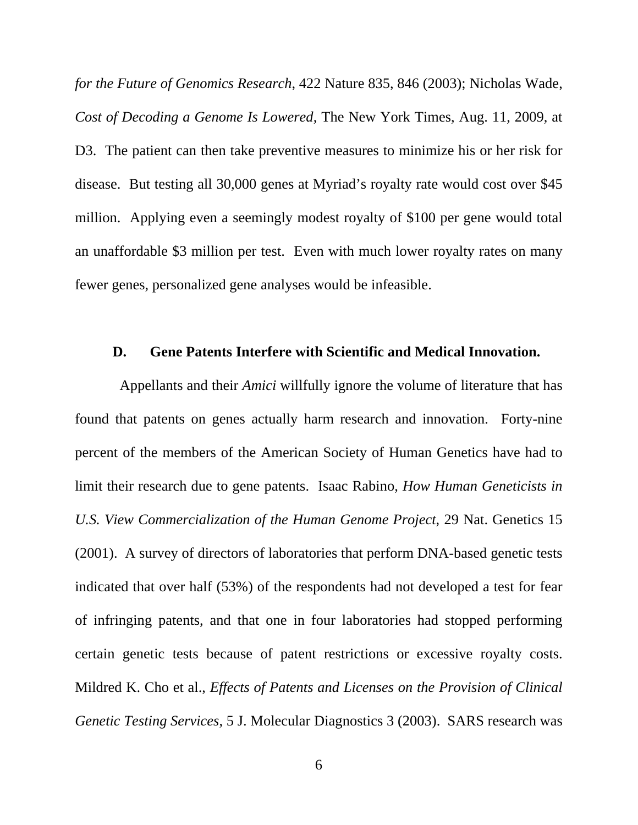*for the Future of Genomics Research*, 422 Nature 835, 846 (2003); Nicholas Wade, *Cost of Decoding a Genome Is Lowered*, The New York Times, Aug. 11, 2009, at D3. The patient can then take preventive measures to minimize his or her risk for disease. But testing all 30,000 genes at Myriad's royalty rate would cost over \$45 million. Applying even a seemingly modest royalty of \$100 per gene would total an unaffordable \$3 million per test. Even with much lower royalty rates on many fewer genes, personalized gene analyses would be infeasible.

#### **D. Gene Patents Interfere with Scientific and Medical Innovation.**

 Appellants and their *Amici* willfully ignore the volume of literature that has found that patents on genes actually harm research and innovation. Forty-nine percent of the members of the American Society of Human Genetics have had to limit their research due to gene patents. Isaac Rabino, *How Human Geneticists in U.S. View Commercialization of the Human Genome Project*, 29 Nat. Genetics 15 (2001). A survey of directors of laboratories that perform DNA-based genetic tests indicated that over half (53%) of the respondents had not developed a test for fear of infringing patents, and that one in four laboratories had stopped performing certain genetic tests because of patent restrictions or excessive royalty costs. Mildred K. Cho et al., *Effects of Patents and Licenses on the Provision of Clinical Genetic Testing Services*, 5 J. Molecular Diagnostics 3 (2003). SARS research was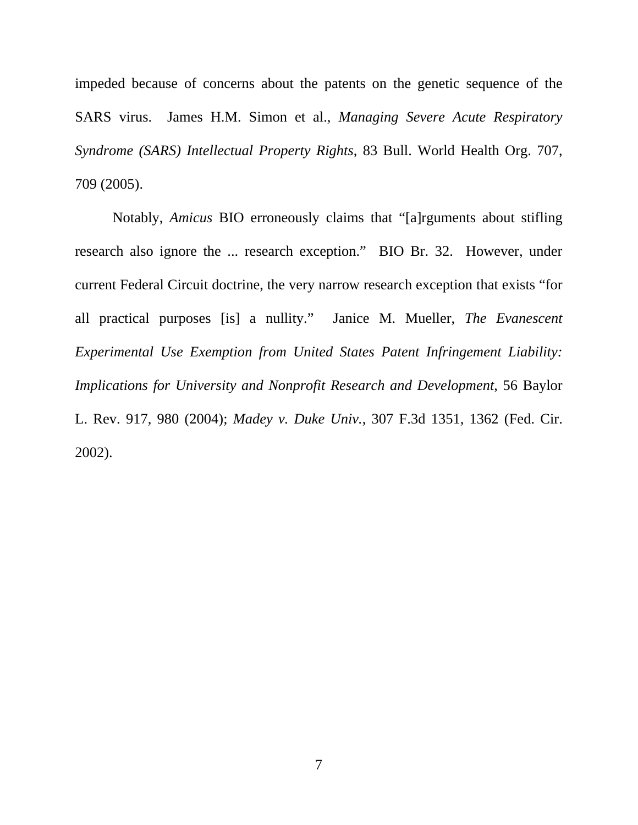impeded because of concerns about the patents on the genetic sequence of the SARS virus. James H.M. Simon et al., *Managing Severe Acute Respiratory Syndrome (SARS) Intellectual Property Rights*, 83 Bull. World Health Org. 707, 709 (2005).

Notably, *Amicus* BIO erroneously claims that "[a]rguments about stifling research also ignore the ... research exception." BIO Br. 32. However, under current Federal Circuit doctrine, the very narrow research exception that exists "for all practical purposes [is] a nullity." Janice M. Mueller, *The Evanescent Experimental Use Exemption from United States Patent Infringement Liability: Implications for University and Nonprofit Research and Development*, 56 Baylor L. Rev. 917, 980 (2004); *Madey v. Duke Univ.*, 307 F.3d 1351, 1362 (Fed. Cir. 2002).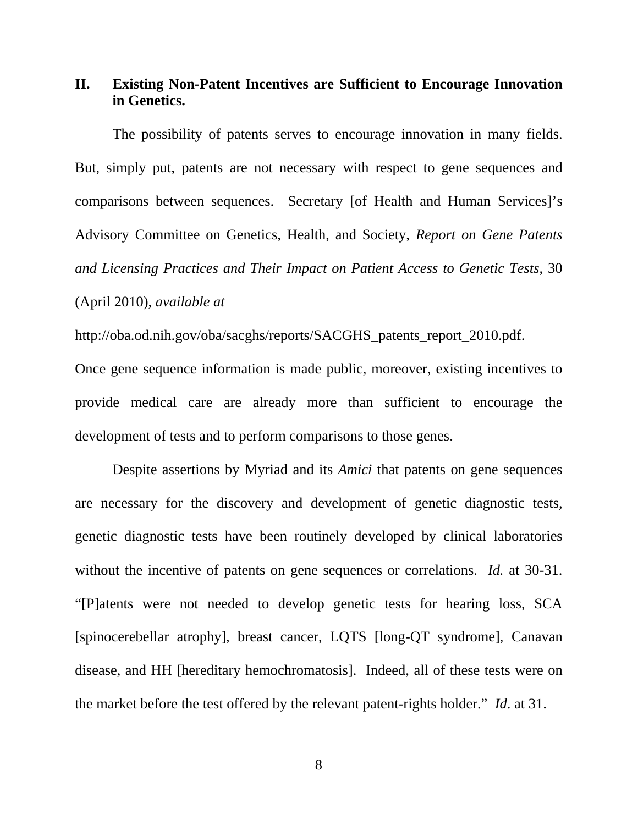## **II. Existing Non-Patent Incentives are Sufficient to Encourage Innovation in Genetics.**

The possibility of patents serves to encourage innovation in many fields. But, simply put, patents are not necessary with respect to gene sequences and comparisons between sequences. Secretary [of Health and Human Services]'s Advisory Committee on Genetics, Health, and Society, *Report on Gene Patents and Licensing Practices and Their Impact on Patient Access to Genetic Tests*, 30 (April 2010), *available at*

http://oba.od.nih.gov/oba/sacghs/reports/SACGHS\_patents\_report\_2010.pdf.

Once gene sequence information is made public, moreover, existing incentives to provide medical care are already more than sufficient to encourage the development of tests and to perform comparisons to those genes.

Despite assertions by Myriad and its *Amici* that patents on gene sequences are necessary for the discovery and development of genetic diagnostic tests, genetic diagnostic tests have been routinely developed by clinical laboratories without the incentive of patents on gene sequences or correlations. *Id.* at 30-31. "[P]atents were not needed to develop genetic tests for hearing loss, SCA [spinocerebellar atrophy], breast cancer, LQTS [long-QT syndrome], Canavan disease, and HH [hereditary hemochromatosis]. Indeed, all of these tests were on the market before the test offered by the relevant patent-rights holder." *Id*. at 31.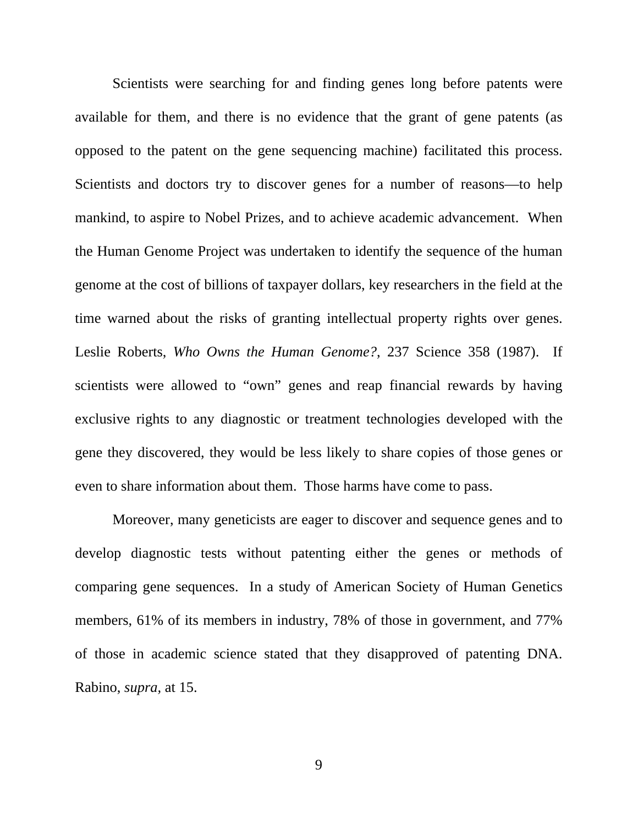Scientists were searching for and finding genes long before patents were available for them, and there is no evidence that the grant of gene patents (as opposed to the patent on the gene sequencing machine) facilitated this process. Scientists and doctors try to discover genes for a number of reasons—to help mankind, to aspire to Nobel Prizes, and to achieve academic advancement. When the Human Genome Project was undertaken to identify the sequence of the human genome at the cost of billions of taxpayer dollars, key researchers in the field at the time warned about the risks of granting intellectual property rights over genes. Leslie Roberts, *Who Owns the Human Genome?*, 237 Science 358 (1987). If scientists were allowed to "own" genes and reap financial rewards by having exclusive rights to any diagnostic or treatment technologies developed with the gene they discovered, they would be less likely to share copies of those genes or even to share information about them. Those harms have come to pass.

Moreover, many geneticists are eager to discover and sequence genes and to develop diagnostic tests without patenting either the genes or methods of comparing gene sequences. In a study of American Society of Human Genetics members, 61% of its members in industry, 78% of those in government, and 77% of those in academic science stated that they disapproved of patenting DNA. Rabino, *supra,* at 15.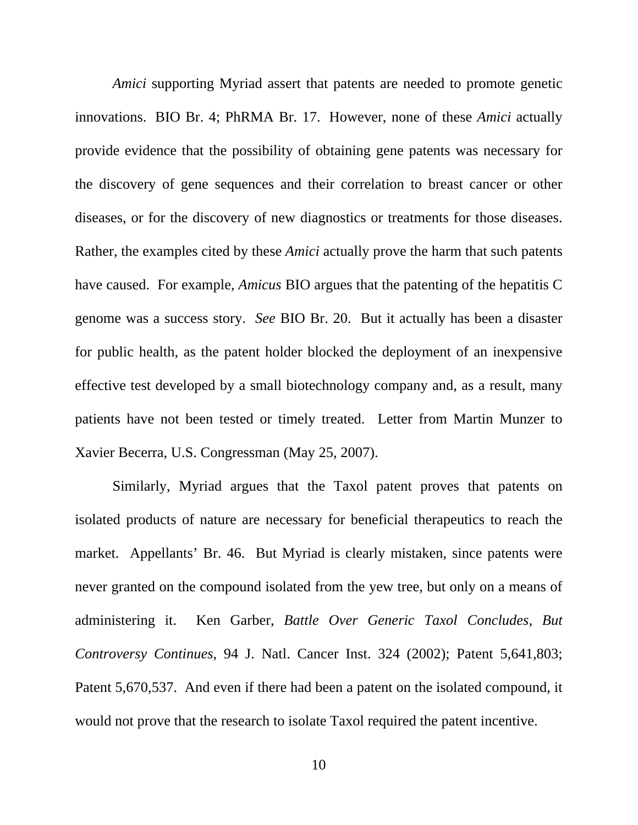*Amici* supporting Myriad assert that patents are needed to promote genetic innovations. BIO Br. 4; PhRMA Br. 17. However, none of these *Amici* actually provide evidence that the possibility of obtaining gene patents was necessary for the discovery of gene sequences and their correlation to breast cancer or other diseases, or for the discovery of new diagnostics or treatments for those diseases. Rather, the examples cited by these *Amici* actually prove the harm that such patents have caused. For example, *Amicus* BIO argues that the patenting of the hepatitis C genome was a success story. *See* BIO Br. 20. But it actually has been a disaster for public health, as the patent holder blocked the deployment of an inexpensive effective test developed by a small biotechnology company and, as a result, many patients have not been tested or timely treated. Letter from Martin Munzer to Xavier Becerra, U.S. Congressman (May 25, 2007).

 Similarly, Myriad argues that the Taxol patent proves that patents on isolated products of nature are necessary for beneficial therapeutics to reach the market. Appellants' Br. 46. But Myriad is clearly mistaken, since patents were never granted on the compound isolated from the yew tree, but only on a means of administering it. Ken Garber, *Battle Over Generic Taxol Concludes, But Controversy Continues*, 94 J. Natl. Cancer Inst. 324 (2002); Patent 5,641,803; Patent 5,670,537. And even if there had been a patent on the isolated compound, it would not prove that the research to isolate Taxol required the patent incentive.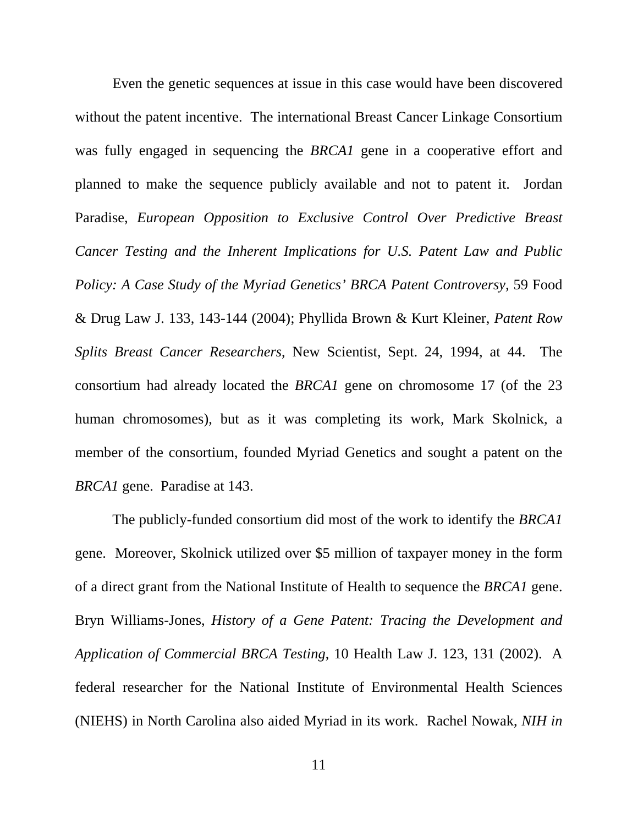Even the genetic sequences at issue in this case would have been discovered without the patent incentive. The international Breast Cancer Linkage Consortium was fully engaged in sequencing the *BRCA1* gene in a cooperative effort and planned to make the sequence publicly available and not to patent it. Jordan Paradise, *European Opposition to Exclusive Control Over Predictive Breast Cancer Testing and the Inherent Implications for U.S. Patent Law and Public Policy: A Case Study of the Myriad Genetics' BRCA Patent Controversy,* 59 Food & Drug Law J. 133, 143-144 (2004); Phyllida Brown & Kurt Kleiner, *Patent Row Splits Breast Cancer Researchers*, New Scientist, Sept. 24, 1994, at 44. The consortium had already located the *BRCA1* gene on chromosome 17 (of the 23 human chromosomes), but as it was completing its work, Mark Skolnick, a member of the consortium, founded Myriad Genetics and sought a patent on the *BRCA1* gene. Paradise at 143.

The publicly-funded consortium did most of the work to identify the *BRCA1* gene. Moreover, Skolnick utilized over \$5 million of taxpayer money in the form of a direct grant from the National Institute of Health to sequence the *BRCA1* gene. Bryn Williams-Jones, *History of a Gene Patent: Tracing the Development and Application of Commercial BRCA Testing*, 10 Health Law J. 123, 131 (2002). A federal researcher for the National Institute of Environmental Health Sciences (NIEHS) in North Carolina also aided Myriad in its work. Rachel Nowak, *NIH in*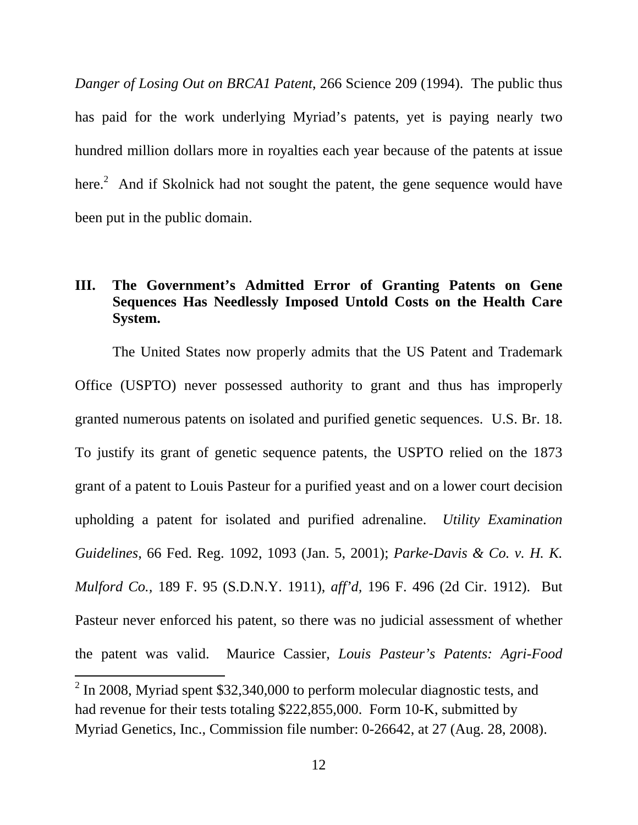*Danger of Losing Out on BRCA1 Patent*, 266 Science 209 (1994). The public thus has paid for the work underlying Myriad's patents, yet is paying nearly two hundred million dollars more in royalties each year because of the patents at issue here. $^2$  And if Skolnick had not sought the patent, the gene sequence would have been put in the public domain.

## **III. The Government's Admitted Error of Granting Patents on Gene Sequences Has Needlessly Imposed Untold Costs on the Health Care System.**

The United States now properly admits that the US Patent and Trademark Office (USPTO) never possessed authority to grant and thus has improperly granted numerous patents on isolated and purified genetic sequences. U.S. Br. 18. To justify its grant of genetic sequence patents, the USPTO relied on the 1873 grant of a patent to Louis Pasteur for a purified yeast and on a lower court decision upholding a patent for isolated and purified adrenaline. *Utility Examination Guidelines*, 66 Fed. Reg. 1092, 1093 (Jan. 5, 2001); *Parke-Davis & Co. v. H. K. Mulford Co.,* 189 F. 95 (S.D.N.Y. 1911), *aff'd,* 196 F. 496 (2d Cir. 1912). But Pasteur never enforced his patent, so there was no judicial assessment of whether the patent was valid. Maurice Cassier, *Louis Pasteur's Patents: Agri-Food* 

 $\overline{a}$ 

 $2$  In 2008, Myriad spent \$32,340,000 to perform molecular diagnostic tests, and had revenue for their tests totaling \$222,855,000. Form 10-K, submitted by Myriad Genetics, Inc., Commission file number: 0-26642, at 27 (Aug. 28, 2008).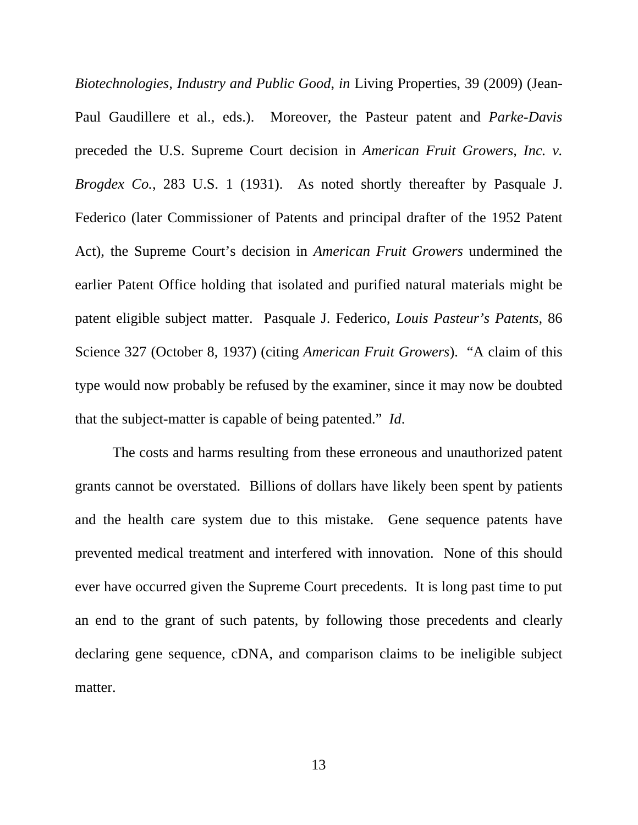*Biotechnologies, Industry and Public Good*, *in* Living Properties, 39 (2009) (Jean-Paul Gaudillere et al., eds.). Moreover, the Pasteur patent and *Parke-Davis* preceded the U.S. Supreme Court decision in *American Fruit Growers, Inc. v. Brogdex Co.*, 283 U.S. 1 (1931). As noted shortly thereafter by Pasquale J. Federico (later Commissioner of Patents and principal drafter of the 1952 Patent Act), the Supreme Court's decision in *American Fruit Growers* undermined the earlier Patent Office holding that isolated and purified natural materials might be patent eligible subject matter. Pasquale J. Federico, *Louis Pasteur's Patents,* 86 Science 327 (October 8, 1937) (citing *American Fruit Growers*). "A claim of this type would now probably be refused by the examiner, since it may now be doubted that the subject-matter is capable of being patented." *Id*.

The costs and harms resulting from these erroneous and unauthorized patent grants cannot be overstated. Billions of dollars have likely been spent by patients and the health care system due to this mistake. Gene sequence patents have prevented medical treatment and interfered with innovation. None of this should ever have occurred given the Supreme Court precedents. It is long past time to put an end to the grant of such patents, by following those precedents and clearly declaring gene sequence, cDNA, and comparison claims to be ineligible subject matter.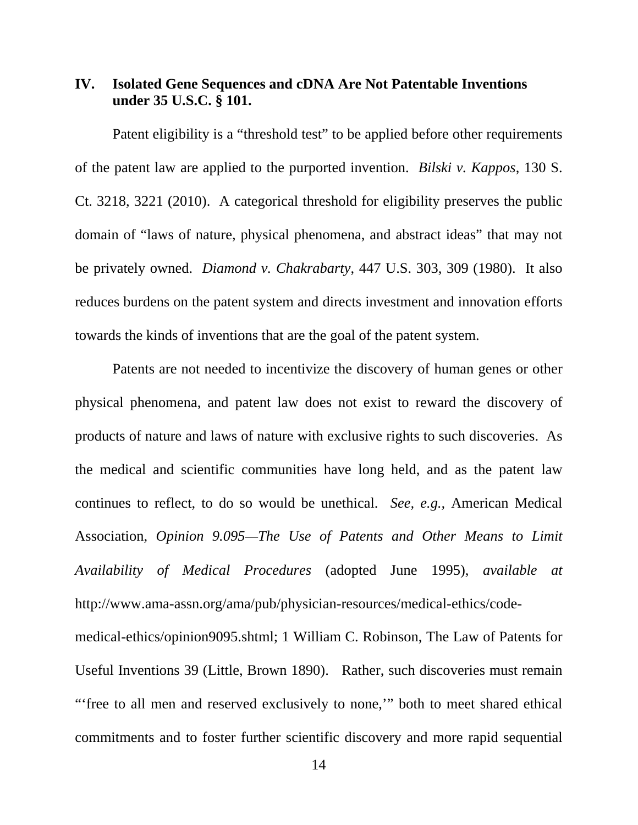## **IV. Isolated Gene Sequences and cDNA Are Not Patentable Inventions under 35 U.S.C. § 101.**

Patent eligibility is a "threshold test" to be applied before other requirements of the patent law are applied to the purported invention. *Bilski v. Kappos*, 130 S. Ct. 3218, 3221 (2010). A categorical threshold for eligibility preserves the public domain of "laws of nature, physical phenomena, and abstract ideas" that may not be privately owned. *Diamond v. Chakrabarty*, 447 U.S. 303, 309 (1980). It also reduces burdens on the patent system and directs investment and innovation efforts towards the kinds of inventions that are the goal of the patent system.

Patents are not needed to incentivize the discovery of human genes or other physical phenomena, and patent law does not exist to reward the discovery of products of nature and laws of nature with exclusive rights to such discoveries. As the medical and scientific communities have long held, and as the patent law continues to reflect, to do so would be unethical. *See, e.g.,* American Medical Association, *Opinion 9.095—The Use of Patents and Other Means to Limit Availability of Medical Procedures* (adopted June 1995), *available at* http://www.ama-assn.org/ama/pub/physician-resources/medical-ethics/codemedical-ethics/opinion9095.shtml; 1 William C. Robinson, The Law of Patents for

Useful Inventions 39 (Little, Brown 1890). Rather, such discoveries must remain "'free to all men and reserved exclusively to none," both to meet shared ethical commitments and to foster further scientific discovery and more rapid sequential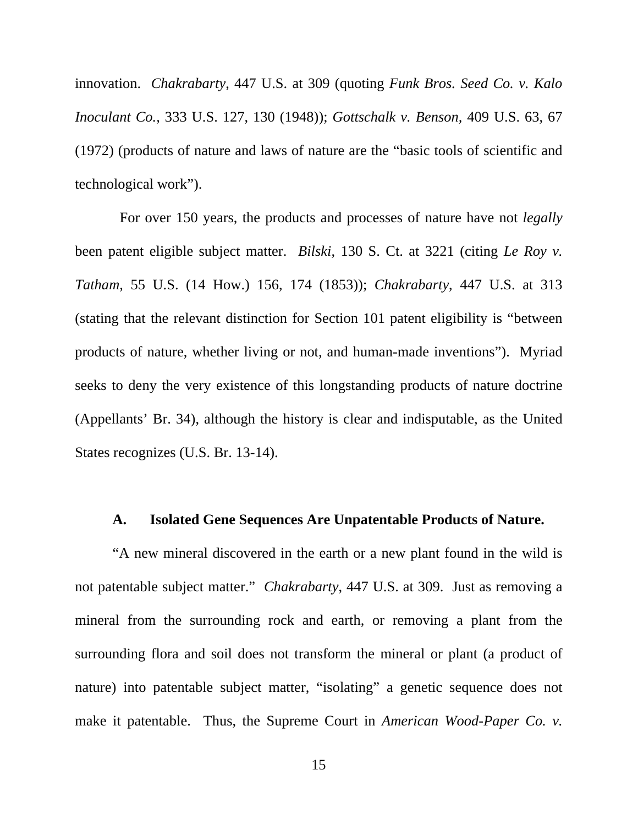innovation. *Chakrabarty*, 447 U.S. at 309 (quoting *Funk Bros. Seed Co. v. Kalo Inoculant Co.,* 333 U.S. 127, 130 (1948)); *Gottschalk v. Benson,* 409 U.S. 63, 67 (1972) (products of nature and laws of nature are the "basic tools of scientific and technological work").

 For over 150 years, the products and processes of nature have not *legally*  been patent eligible subject matter. *Bilski*, 130 S. Ct. at 3221 (citing *Le Roy v. Tatham,* 55 U.S. (14 How.) 156, 174 (1853)); *Chakrabarty*, 447 U.S. at 313 (stating that the relevant distinction for Section 101 patent eligibility is "between products of nature, whether living or not, and human-made inventions"). Myriad seeks to deny the very existence of this longstanding products of nature doctrine (Appellants' Br. 34), although the history is clear and indisputable, as the United States recognizes (U.S. Br. 13-14).

### **A. Isolated Gene Sequences Are Unpatentable Products of Nature.**

"A new mineral discovered in the earth or a new plant found in the wild is not patentable subject matter." *Chakrabarty*, 447 U.S. at 309. Just as removing a mineral from the surrounding rock and earth, or removing a plant from the surrounding flora and soil does not transform the mineral or plant (a product of nature) into patentable subject matter, "isolating" a genetic sequence does not make it patentable. Thus, the Supreme Court in *American Wood-Paper Co. v.*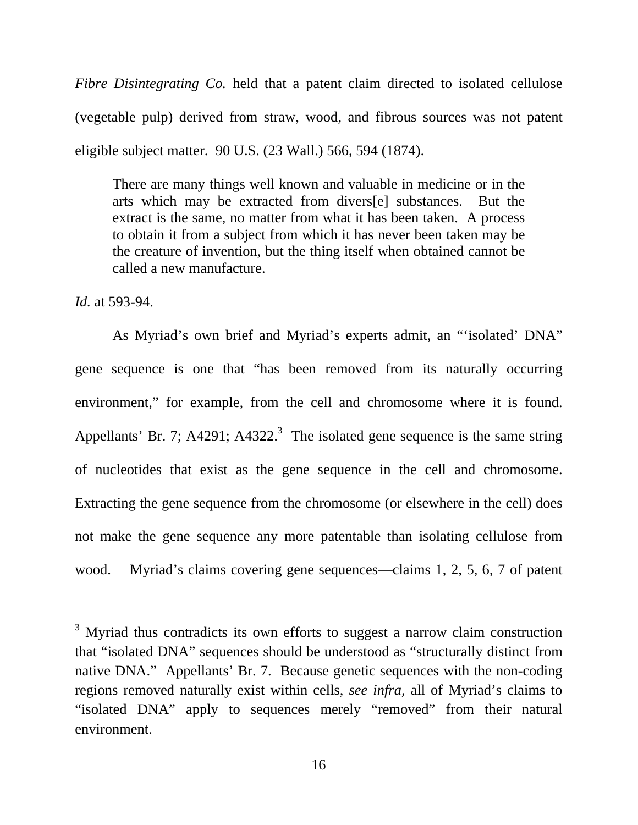*Fibre Disintegrating Co.* held that a patent claim directed to isolated cellulose (vegetable pulp) derived from straw, wood, and fibrous sources was not patent eligible subject matter. 90 U.S. (23 Wall.) 566, 594 (1874).

There are many things well known and valuable in medicine or in the arts which may be extracted from divers[e] substances. But the extract is the same, no matter from what it has been taken. A process to obtain it from a subject from which it has never been taken may be the creature of invention, but the thing itself when obtained cannot be called a new manufacture.

*Id.* at 593-94.

 $\overline{a}$ 

As Myriad's own brief and Myriad's experts admit, an "'isolated' DNA" gene sequence is one that "has been removed from its naturally occurring environment," for example*,* from the cell and chromosome where it is found. Appellants' Br. 7; A4291; A4322.<sup>3</sup> The isolated gene sequence is the same string of nucleotides that exist as the gene sequence in the cell and chromosome. Extracting the gene sequence from the chromosome (or elsewhere in the cell) does not make the gene sequence any more patentable than isolating cellulose from wood. Myriad's claims covering gene sequences—claims 1, 2, 5, 6, 7 of patent

 $3$  Myriad thus contradicts its own efforts to suggest a narrow claim construction that "isolated DNA" sequences should be understood as "structurally distinct from native DNA." Appellants' Br. 7. Because genetic sequences with the non-coding regions removed naturally exist within cells, *see infra,* all of Myriad's claims to "isolated DNA" apply to sequences merely "removed" from their natural environment.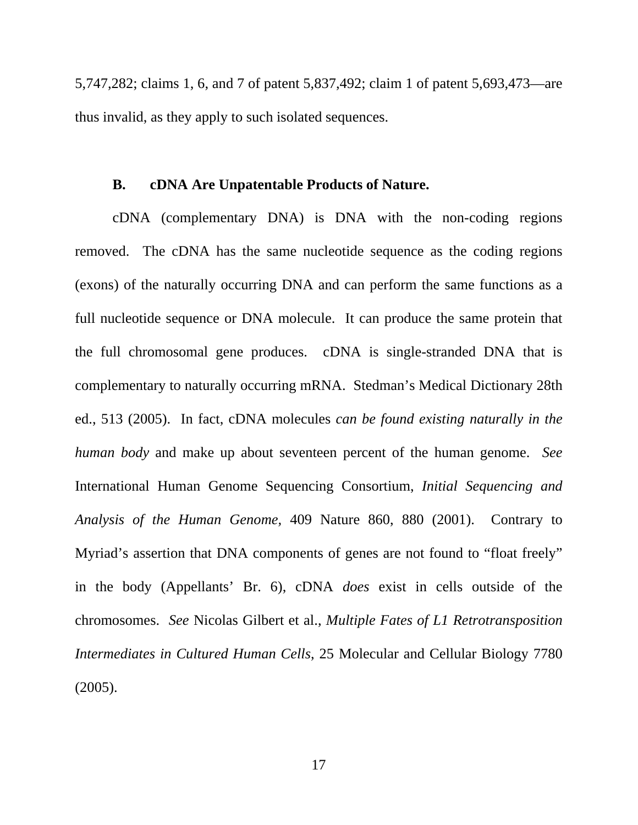5,747,282; claims 1, 6, and 7 of patent 5,837,492; claim 1 of patent 5,693,473—are thus invalid, as they apply to such isolated sequences.

#### **B. cDNA Are Unpatentable Products of Nature.**

cDNA (complementary DNA) is DNA with the non-coding regions removed. The cDNA has the same nucleotide sequence as the coding regions (exons) of the naturally occurring DNA and can perform the same functions as a full nucleotide sequence or DNA molecule. It can produce the same protein that the full chromosomal gene produces. cDNA is single-stranded DNA that is complementary to naturally occurring mRNA. Stedman's Medical Dictionary 28th ed., 513 (2005). In fact, cDNA molecules *can be found existing naturally in the human body* and make up about seventeen percent of the human genome. *See*  International Human Genome Sequencing Consortium, *Initial Sequencing and Analysis of the Human Genome,* 409 Nature 860, 880 (2001). Contrary to Myriad's assertion that DNA components of genes are not found to "float freely" in the body (Appellants' Br. 6), cDNA *does* exist in cells outside of the chromosomes. *See* Nicolas Gilbert et al., *Multiple Fates of L1 Retrotransposition Intermediates in Cultured Human Cells*, 25 Molecular and Cellular Biology 7780 (2005).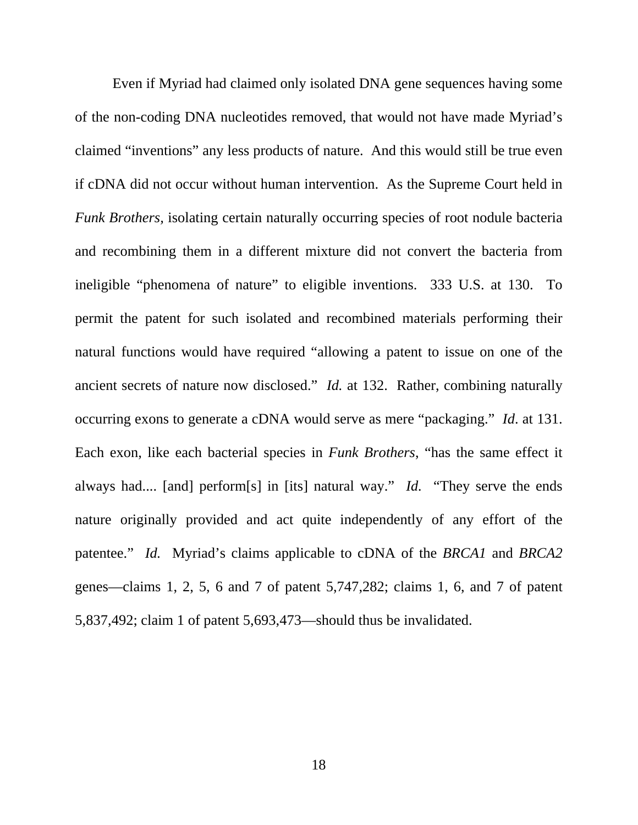Even if Myriad had claimed only isolated DNA gene sequences having some of the non-coding DNA nucleotides removed, that would not have made Myriad's claimed "inventions" any less products of nature. And this would still be true even if cDNA did not occur without human intervention. As the Supreme Court held in *Funk Brothers,* isolating certain naturally occurring species of root nodule bacteria and recombining them in a different mixture did not convert the bacteria from ineligible "phenomena of nature" to eligible inventions. 333 U.S. at 130. To permit the patent for such isolated and recombined materials performing their natural functions would have required "allowing a patent to issue on one of the ancient secrets of nature now disclosed." *Id.* at 132. Rather, combining naturally occurring exons to generate a cDNA would serve as mere "packaging." *Id*. at 131. Each exon, like each bacterial species in *Funk Brothers*, "has the same effect it always had.... [and] perform[s] in [its] natural way." *Id.* "They serve the ends nature originally provided and act quite independently of any effort of the patentee." *Id.* Myriad's claims applicable to cDNA of the *BRCA1* and *BRCA2* genes—claims 1, 2, 5, 6 and 7 of patent 5,747,282; claims 1, 6, and 7 of patent 5,837,492; claim 1 of patent 5,693,473—should thus be invalidated.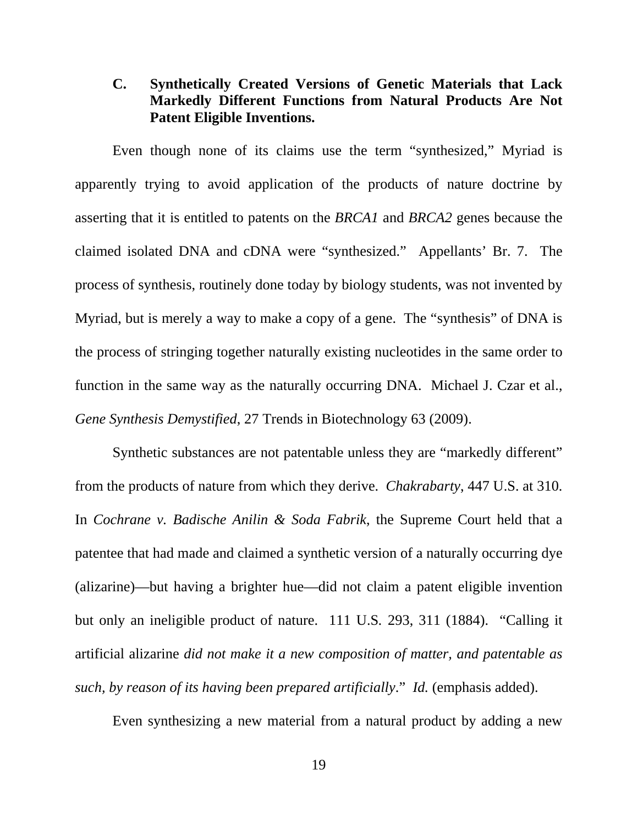## **C. Synthetically Created Versions of Genetic Materials that Lack Markedly Different Functions from Natural Products Are Not Patent Eligible Inventions.**

Even though none of its claims use the term "synthesized," Myriad is apparently trying to avoid application of the products of nature doctrine by asserting that it is entitled to patents on the *BRCA1* and *BRCA2* genes because the claimed isolated DNA and cDNA were "synthesized." Appellants' Br. 7. The process of synthesis, routinely done today by biology students, was not invented by Myriad, but is merely a way to make a copy of a gene. The "synthesis" of DNA is the process of stringing together naturally existing nucleotides in the same order to function in the same way as the naturally occurring DNA. Michael J. Czar et al., *Gene Synthesis Demystified*, 27 Trends in Biotechnology 63 (2009).

Synthetic substances are not patentable unless they are "markedly different" from the products of nature from which they derive. *Chakrabarty*, 447 U.S. at 310. In *Cochrane v. Badische Anilin & Soda Fabrik*, the Supreme Court held that a patentee that had made and claimed a synthetic version of a naturally occurring dye (alizarine)—but having a brighter hue—did not claim a patent eligible invention but only an ineligible product of nature. 111 U.S*.* 293, 311 (1884). "Calling it artificial alizarine *did not make it a new composition of matter, and patentable as such, by reason of its having been prepared artificially*." *Id.* (emphasis added).

Even synthesizing a new material from a natural product by adding a new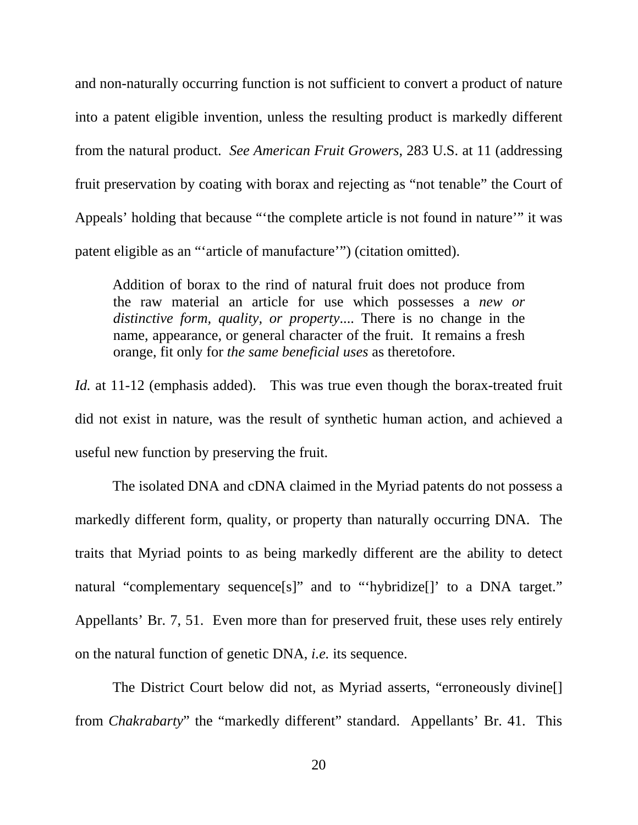and non-naturally occurring function is not sufficient to convert a product of nature into a patent eligible invention, unless the resulting product is markedly different from the natural product. *See American Fruit Growers*, 283 U.S. at 11 (addressing fruit preservation by coating with borax and rejecting as "not tenable" the Court of Appeals' holding that because "'the complete article is not found in nature'" it was patent eligible as an "'article of manufacture'") (citation omitted).

Addition of borax to the rind of natural fruit does not produce from the raw material an article for use which possesses a *new or distinctive form, quality, or property*.... There is no change in the name, appearance, or general character of the fruit. It remains a fresh orange, fit only for *the same beneficial uses* as theretofore.

*Id.* at 11-12 (emphasis added). This was true even though the borax-treated fruit did not exist in nature, was the result of synthetic human action, and achieved a useful new function by preserving the fruit.

 The isolated DNA and cDNA claimed in the Myriad patents do not possess a markedly different form, quality, or property than naturally occurring DNA. The traits that Myriad points to as being markedly different are the ability to detect natural "complementary sequence[s]" and to "'hybridize[]' to a DNA target." Appellants' Br. 7, 51. Even more than for preserved fruit, these uses rely entirely on the natural function of genetic DNA, *i.e.* its sequence.

The District Court below did not, as Myriad asserts, "erroneously divine[] from *Chakrabarty*" the "markedly different" standard. Appellants' Br. 41. This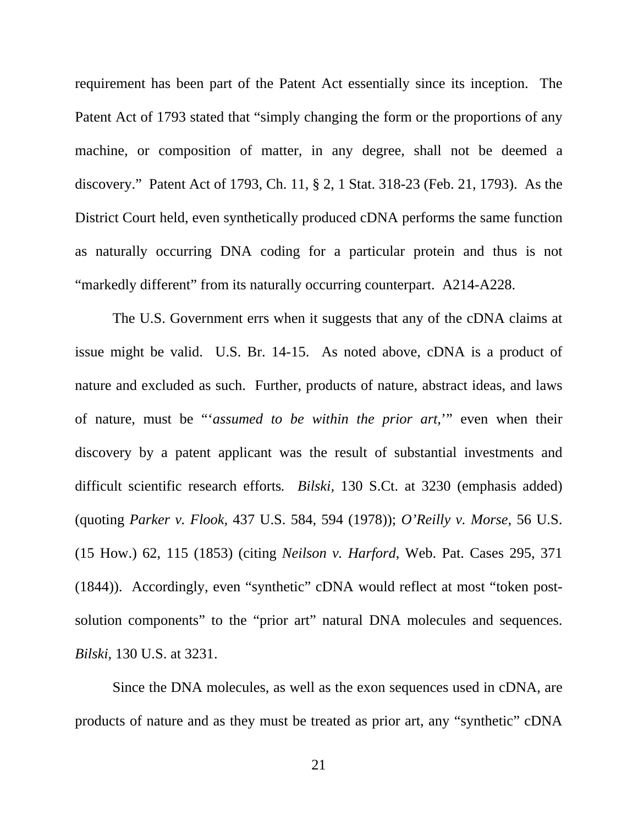requirement has been part of the Patent Act essentially since its inception. The Patent Act of 1793 stated that "simply changing the form or the proportions of any machine, or composition of matter, in any degree, shall not be deemed a discovery." Patent Act of 1793, Ch. 11, § 2, 1 Stat. 318-23 (Feb. 21, 1793). As the District Court held, even synthetically produced cDNA performs the same function as naturally occurring DNA coding for a particular protein and thus is not "markedly different" from its naturally occurring counterpart. A214-A228.

The U.S. Government errs when it suggests that any of the cDNA claims at issue might be valid. U.S. Br. 14-15. As noted above, cDNA is a product of nature and excluded as such. Further, products of nature, abstract ideas, and laws of nature, must be "'*assumed to be within the prior art,*'" even when their discovery by a patent applicant was the result of substantial investments and difficult scientific research efforts*. Bilski,* 130 S.Ct. at 3230 (emphasis added) (quoting *Parker v. Flook,* 437 U.S. 584, 594 (1978)); *O'Reilly v. Morse,* 56 U.S. (15 How.) 62, 115 (1853) (citing *Neilson v. Harford*, Web. Pat. Cases 295, 371 (1844)). Accordingly, even "synthetic" cDNA would reflect at most "token postsolution components" to the "prior art" natural DNA molecules and sequences. *Bilski,* 130 U.S. at 3231.

Since the DNA molecules, as well as the exon sequences used in cDNA, are products of nature and as they must be treated as prior art, any "synthetic" cDNA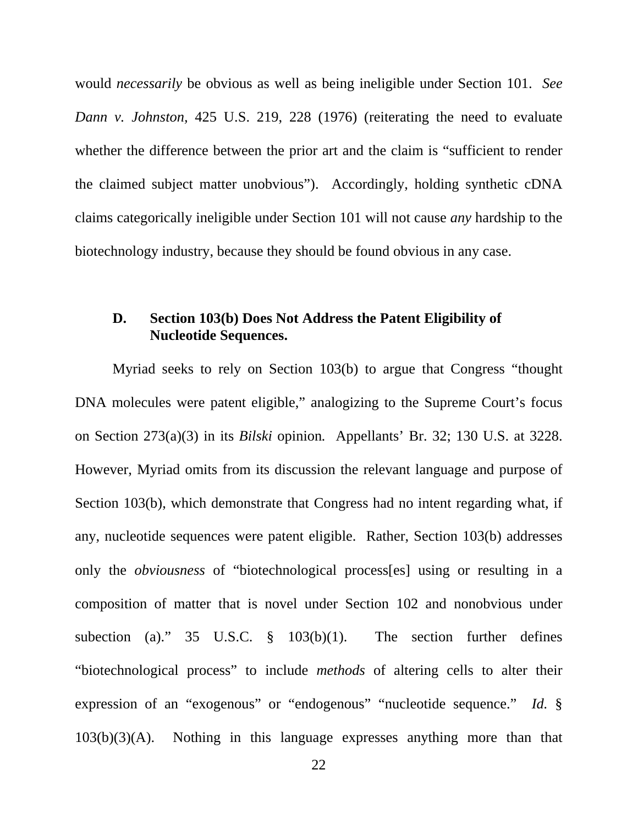would *necessarily* be obvious as well as being ineligible under Section 101. *See Dann v. Johnston,* 425 U.S. 219, 228 (1976) (reiterating the need to evaluate whether the difference between the prior art and the claim is "sufficient to render the claimed subject matter unobvious"). Accordingly, holding synthetic cDNA claims categorically ineligible under Section 101 will not cause *any* hardship to the biotechnology industry, because they should be found obvious in any case.

## **D. Section 103(b) Does Not Address the Patent Eligibility of Nucleotide Sequences.**

Myriad seeks to rely on Section 103(b) to argue that Congress "thought DNA molecules were patent eligible," analogizing to the Supreme Court's focus on Section 273(a)(3) in its *Bilski* opinion*.* Appellants' Br. 32; 130 U.S. at 3228. However, Myriad omits from its discussion the relevant language and purpose of Section 103(b), which demonstrate that Congress had no intent regarding what, if any, nucleotide sequences were patent eligible. Rather, Section 103(b) addresses only the *obviousness* of "biotechnological process[es] using or resulting in a composition of matter that is novel under Section 102 and nonobvious under subection (a)." 35 U.S.C. § 103(b)(1). The section further defines "biotechnological process" to include *methods* of altering cells to alter their expression of an "exogenous" or "endogenous" "nucleotide sequence." *Id.* § 103(b)(3)(A). Nothing in this language expresses anything more than that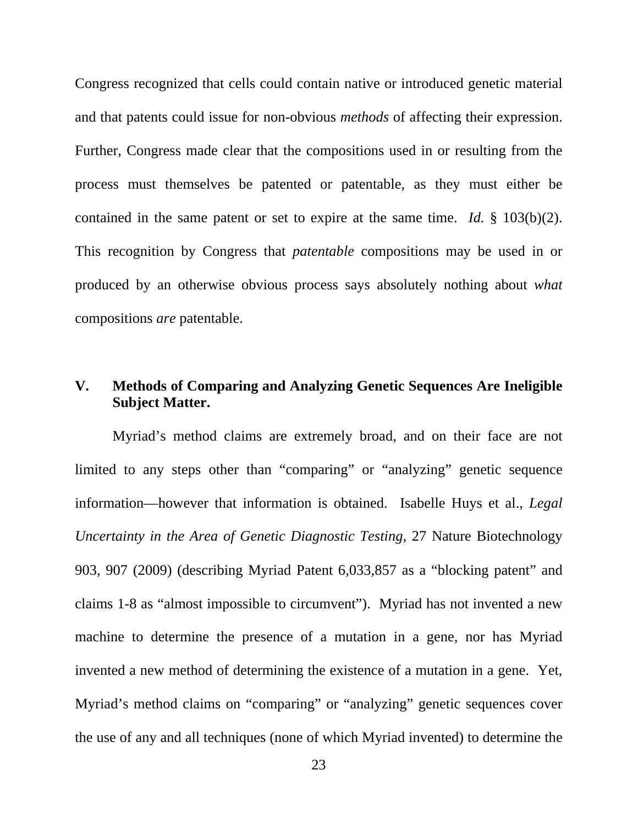Congress recognized that cells could contain native or introduced genetic material and that patents could issue for non-obvious *methods* of affecting their expression. Further, Congress made clear that the compositions used in or resulting from the process must themselves be patented or patentable, as they must either be contained in the same patent or set to expire at the same time. *Id.* § 103(b)(2). This recognition by Congress that *patentable* compositions may be used in or produced by an otherwise obvious process says absolutely nothing about *what*  compositions *are* patentable.

## **V. Methods of Comparing and Analyzing Genetic Sequences Are Ineligible Subject Matter.**

Myriad's method claims are extremely broad, and on their face are not limited to any steps other than "comparing" or "analyzing" genetic sequence information—however that information is obtained. Isabelle Huys et al., *Legal Uncertainty in the Area of Genetic Diagnostic Testing*, 27 Nature Biotechnology 903, 907 (2009) (describing Myriad Patent 6,033,857 as a "blocking patent" and claims 1-8 as "almost impossible to circumvent"). Myriad has not invented a new machine to determine the presence of a mutation in a gene, nor has Myriad invented a new method of determining the existence of a mutation in a gene. Yet, Myriad's method claims on "comparing" or "analyzing" genetic sequences cover the use of any and all techniques (none of which Myriad invented) to determine the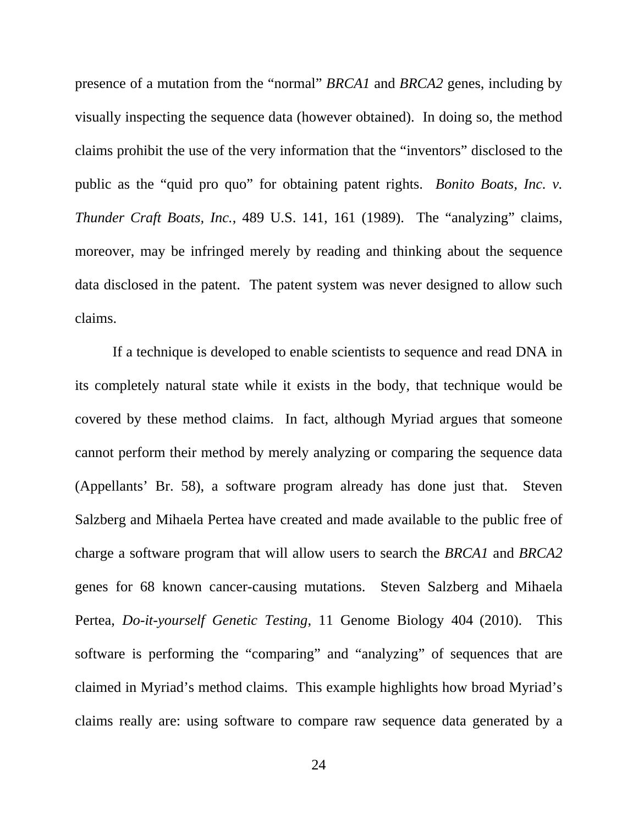presence of a mutation from the "normal" *BRCA1* and *BRCA2* genes, including by visually inspecting the sequence data (however obtained). In doing so, the method claims prohibit the use of the very information that the "inventors" disclosed to the public as the "quid pro quo" for obtaining patent rights. *Bonito Boats, Inc. v. Thunder Craft Boats, Inc.*, 489 U.S. 141, 161 (1989). The "analyzing" claims, moreover, may be infringed merely by reading and thinking about the sequence data disclosed in the patent. The patent system was never designed to allow such claims.

If a technique is developed to enable scientists to sequence and read DNA in its completely natural state while it exists in the body, that technique would be covered by these method claims. In fact, although Myriad argues that someone cannot perform their method by merely analyzing or comparing the sequence data (Appellants' Br. 58), a software program already has done just that. Steven Salzberg and Mihaela Pertea have created and made available to the public free of charge a software program that will allow users to search the *BRCA1* and *BRCA2* genes for 68 known cancer-causing mutations. Steven Salzberg and Mihaela Pertea, *Do-it-yourself Genetic Testing*, 11 Genome Biology 404 (2010). This software is performing the "comparing" and "analyzing" of sequences that are claimed in Myriad's method claims. This example highlights how broad Myriad's claims really are: using software to compare raw sequence data generated by a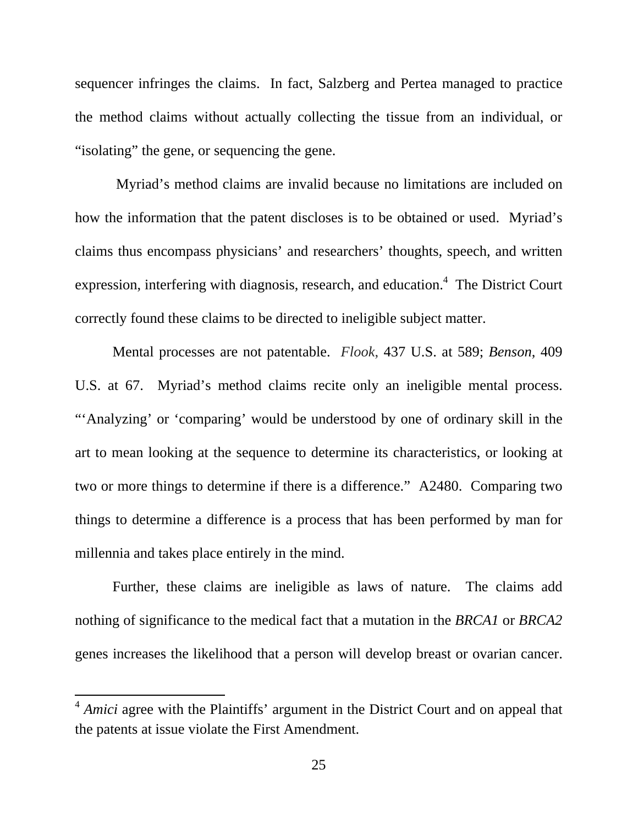sequencer infringes the claims. In fact, Salzberg and Pertea managed to practice the method claims without actually collecting the tissue from an individual, or "isolating" the gene, or sequencing the gene.

 Myriad's method claims are invalid because no limitations are included on how the information that the patent discloses is to be obtained or used. Myriad's claims thus encompass physicians' and researchers' thoughts, speech, and written expression, interfering with diagnosis, research, and education.<sup>4</sup> The District Court correctly found these claims to be directed to ineligible subject matter.

Mental processes are not patentable. *Flook*, 437 U.S. at 589; *Benson*, 409 U.S. at 67. Myriad's method claims recite only an ineligible mental process. "'Analyzing' or 'comparing' would be understood by one of ordinary skill in the art to mean looking at the sequence to determine its characteristics, or looking at two or more things to determine if there is a difference." A2480. Comparing two things to determine a difference is a process that has been performed by man for millennia and takes place entirely in the mind.

Further, these claims are ineligible as laws of nature. The claims add nothing of significance to the medical fact that a mutation in the *BRCA1* or *BRCA2* genes increases the likelihood that a person will develop breast or ovarian cancer.

 $\overline{a}$ 

<sup>&</sup>lt;sup>4</sup> *Amici* agree with the Plaintiffs' argument in the District Court and on appeal that the patents at issue violate the First Amendment.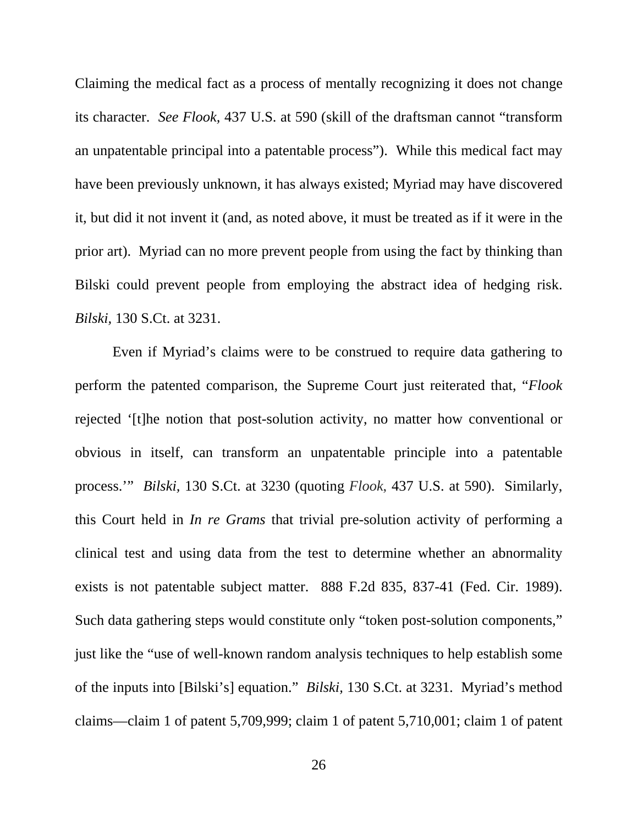Claiming the medical fact as a process of mentally recognizing it does not change its character. *See Flook,* 437 U.S. at 590 (skill of the draftsman cannot "transform an unpatentable principal into a patentable process"). While this medical fact may have been previously unknown, it has always existed; Myriad may have discovered it, but did it not invent it (and, as noted above, it must be treated as if it were in the prior art). Myriad can no more prevent people from using the fact by thinking than Bilski could prevent people from employing the abstract idea of hedging risk. *Bilski,* 130 S.Ct. at 3231.

Even if Myriad's claims were to be construed to require data gathering to perform the patented comparison, the Supreme Court just reiterated that, "*Flook*  rejected '[t]he notion that post-solution activity, no matter how conventional or obvious in itself, can transform an unpatentable principle into a patentable process.'" *Bilski,* 130 S.Ct. at 3230 (quoting *Flook*, 437 U.S. at 590). Similarly, this Court held in *In re Grams* that trivial pre-solution activity of performing a clinical test and using data from the test to determine whether an abnormality exists is not patentable subject matter. 888 F.2d 835, 837-41 (Fed. Cir. 1989). Such data gathering steps would constitute only "token post-solution components," just like the "use of well-known random analysis techniques to help establish some of the inputs into [Bilski's] equation." *Bilski,* 130 S.Ct. at 3231*.* Myriad's method claims—claim 1 of patent 5,709,999; claim 1 of patent 5,710,001; claim 1 of patent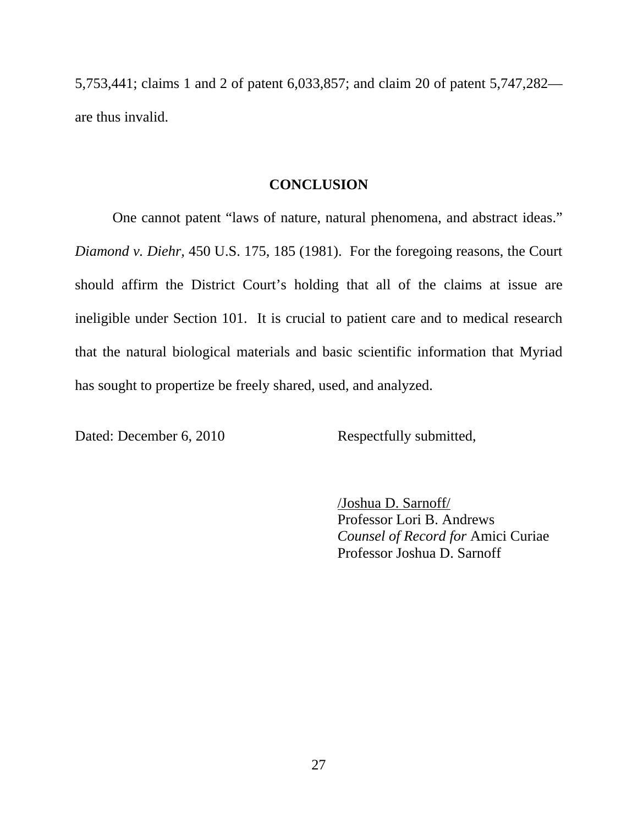5,753,441; claims 1 and 2 of patent 6,033,857; and claim 20 of patent 5,747,282 are thus invalid.

#### **CONCLUSION**

One cannot patent "laws of nature, natural phenomena, and abstract ideas." *Diamond v. Diehr,* 450 U.S. 175, 185 (1981). For the foregoing reasons, the Court should affirm the District Court's holding that all of the claims at issue are ineligible under Section 101. It is crucial to patient care and to medical research that the natural biological materials and basic scientific information that Myriad has sought to propertize be freely shared, used, and analyzed.

Dated: December 6, 2010 Respectfully submitted,

/Joshua D. Sarnoff/ Professor Lori B. Andrews *Counsel of Record for* Amici Curiae Professor Joshua D. Sarnoff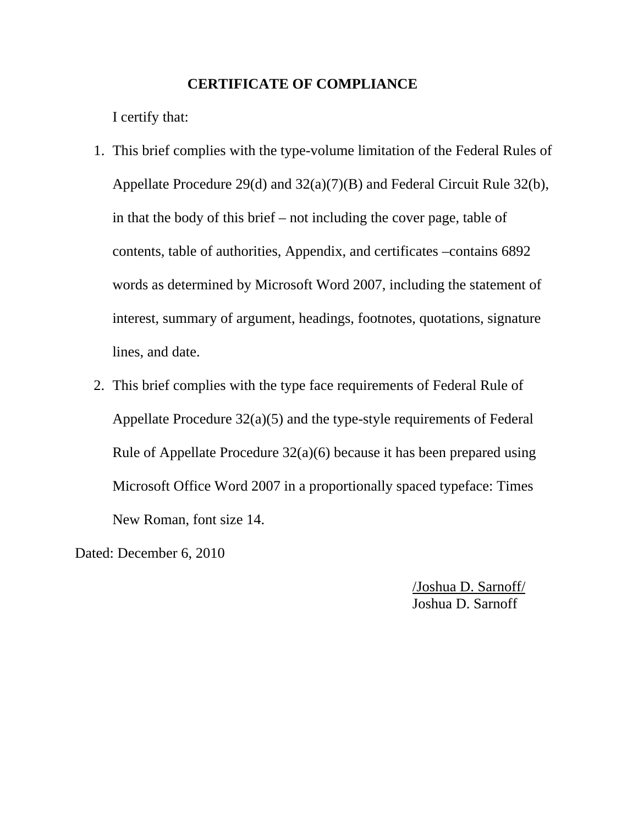#### **CERTIFICATE OF COMPLIANCE**

I certify that:

- 1. This brief complies with the type-volume limitation of the Federal Rules of Appellate Procedure 29(d) and 32(a)(7)(B) and Federal Circuit Rule 32(b), in that the body of this brief – not including the cover page, table of contents, table of authorities, Appendix, and certificates –contains 6892 words as determined by Microsoft Word 2007, including the statement of interest, summary of argument, headings, footnotes, quotations, signature lines, and date.
- 2. This brief complies with the type face requirements of Federal Rule of Appellate Procedure 32(a)(5) and the type-style requirements of Federal Rule of Appellate Procedure 32(a)(6) because it has been prepared using Microsoft Office Word 2007 in a proportionally spaced typeface: Times New Roman, font size 14.

Dated: December 6, 2010

/Joshua D. Sarnoff/ Joshua D. Sarnoff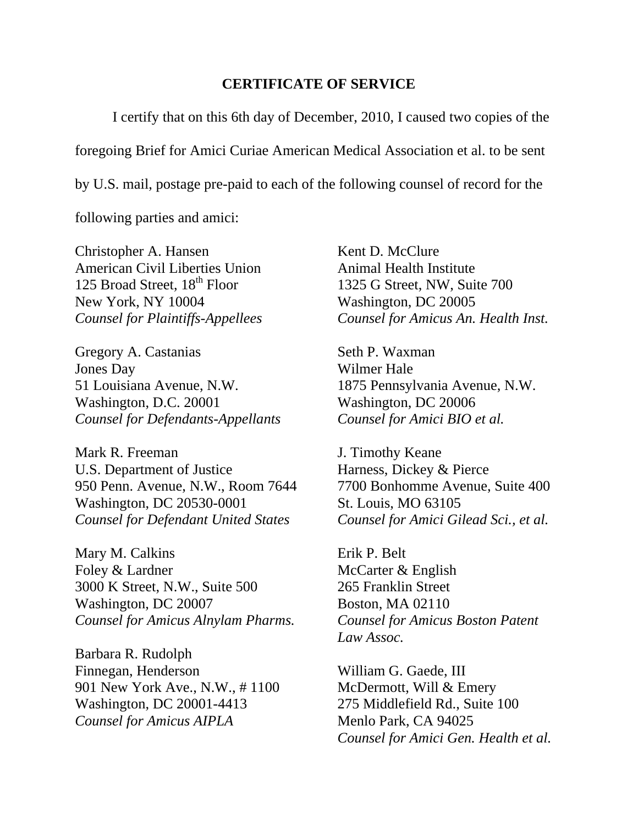#### **CERTIFICATE OF SERVICE**

I certify that on this 6th day of December, 2010, I caused two copies of the foregoing Brief for Amici Curiae American Medical Association et al. to be sent by U.S. mail, postage pre-paid to each of the following counsel of record for the

following parties and amici:

Christopher A. Hansen American Civil Liberties Union 125 Broad Street, 18<sup>th</sup> Floor New York, NY 10004 *Counsel for Plaintiffs-Appellees* 

Gregory A. Castanias Jones Day 51 Louisiana Avenue, N.W. Washington, D.C. 20001 *Counsel for Defendants-Appellants* 

Mark R. Freeman U.S. Department of Justice 950 Penn. Avenue, N.W., Room 7644 Washington, DC 20530-0001 *Counsel for Defendant United States* 

Mary M. Calkins Foley & Lardner 3000 K Street, N.W., Suite 500 Washington, DC 20007 *Counsel for Amicus Alnylam Pharms.* 

Barbara R. Rudolph Finnegan, Henderson 901 New York Ave., N.W., # 1100 Washington, DC 20001-4413 *Counsel for Amicus AIPLA* 

Kent D. McClure Animal Health Institute 1325 G Street, NW, Suite 700 Washington, DC 20005 *Counsel for Amicus An. Health Inst.* 

Seth P. Waxman Wilmer Hale 1875 Pennsylvania Avenue, N.W. Washington, DC 20006 *Counsel for Amici BIO et al.* 

J. Timothy Keane Harness, Dickey & Pierce 7700 Bonhomme Avenue, Suite 400 St. Louis, MO 63105 *Counsel for Amici Gilead Sci., et al.* 

Erik P. Belt McCarter & English 265 Franklin Street Boston, MA 02110 *Counsel for Amicus Boston Patent Law Assoc.* 

William G. Gaede, III McDermott, Will & Emery 275 Middlefield Rd., Suite 100 Menlo Park, CA 94025 *Counsel for Amici Gen. Health et al.*